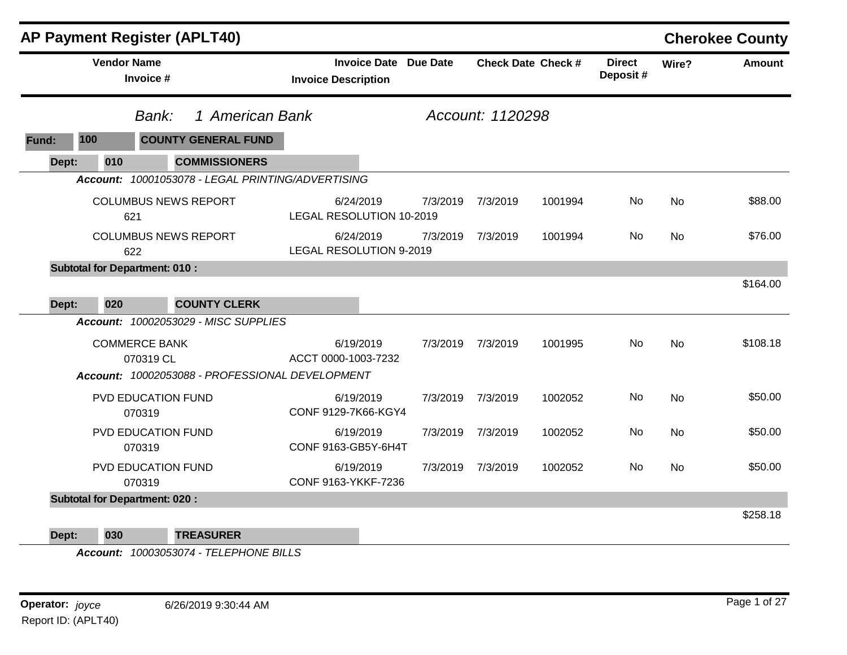|       |                    | <b>AP Payment Register (APLT40)</b>               |                                                            |                  |                   |                           |                           |           | <b>Cherokee County</b> |
|-------|--------------------|---------------------------------------------------|------------------------------------------------------------|------------------|-------------------|---------------------------|---------------------------|-----------|------------------------|
|       | <b>Vendor Name</b> | Invoice #                                         | <b>Invoice Date Due Date</b><br><b>Invoice Description</b> |                  |                   | <b>Check Date Check #</b> | <b>Direct</b><br>Deposit# | Wire?     | <b>Amount</b>          |
|       |                    | 1 American Bank<br>Bank:                          |                                                            | Account: 1120298 |                   |                           |                           |           |                        |
| Fund: | 100                | <b>COUNTY GENERAL FUND</b>                        |                                                            |                  |                   |                           |                           |           |                        |
| Dept: | 010                | <b>COMMISSIONERS</b>                              |                                                            |                  |                   |                           |                           |           |                        |
|       |                    | Account: 10001053078 - LEGAL PRINTING/ADVERTISING |                                                            |                  |                   |                           |                           |           |                        |
|       |                    | <b>COLUMBUS NEWS REPORT</b><br>621                | 6/24/2019<br>LEGAL RESOLUTION 10-2019                      | 7/3/2019         | 7/3/2019          | 1001994                   | No                        | No        | \$88.00                |
|       |                    | <b>COLUMBUS NEWS REPORT</b><br>622                | 6/24/2019<br><b>LEGAL RESOLUTION 9-2019</b>                | 7/3/2019         | 7/3/2019          | 1001994                   | No.                       | <b>No</b> | \$76.00                |
|       |                    | <b>Subtotal for Department: 010:</b>              |                                                            |                  |                   |                           |                           |           |                        |
| Dept: | 020                | <b>COUNTY CLERK</b>                               |                                                            |                  |                   |                           |                           |           | \$164.00               |
|       |                    | Account: 10002053029 - MISC SUPPLIES              |                                                            |                  |                   |                           |                           |           |                        |
|       |                    | <b>COMMERCE BANK</b><br>070319 CL                 | 6/19/2019<br>ACCT 0000-1003-7232                           |                  | 7/3/2019 7/3/2019 | 1001995                   | No.                       | <b>No</b> | \$108.18               |
|       |                    | Account: 10002053088 - PROFESSIONAL DEVELOPMENT   |                                                            |                  |                   |                           |                           |           |                        |
|       |                    | PVD EDUCATION FUND<br>070319                      | 6/19/2019<br>CONF 9129-7K66-KGY4                           |                  | 7/3/2019 7/3/2019 | 1002052                   | No                        | <b>No</b> | \$50.00                |
|       |                    | PVD EDUCATION FUND<br>070319                      | 6/19/2019<br>CONF 9163-GB5Y-6H4T                           | 7/3/2019         | 7/3/2019          | 1002052                   | No                        | No        | \$50.00                |
|       |                    | PVD EDUCATION FUND<br>070319                      | 6/19/2019<br>CONF 9163-YKKF-7236                           | 7/3/2019         | 7/3/2019          | 1002052                   | No                        | <b>No</b> | \$50.00                |
|       |                    | <b>Subtotal for Department: 020:</b>              |                                                            |                  |                   |                           |                           |           |                        |
| Dept: | 030                | <b>TREASURER</b>                                  |                                                            |                  |                   |                           |                           |           | \$258.18               |

*Account: 10003053074 - TELEPHONE BILLS*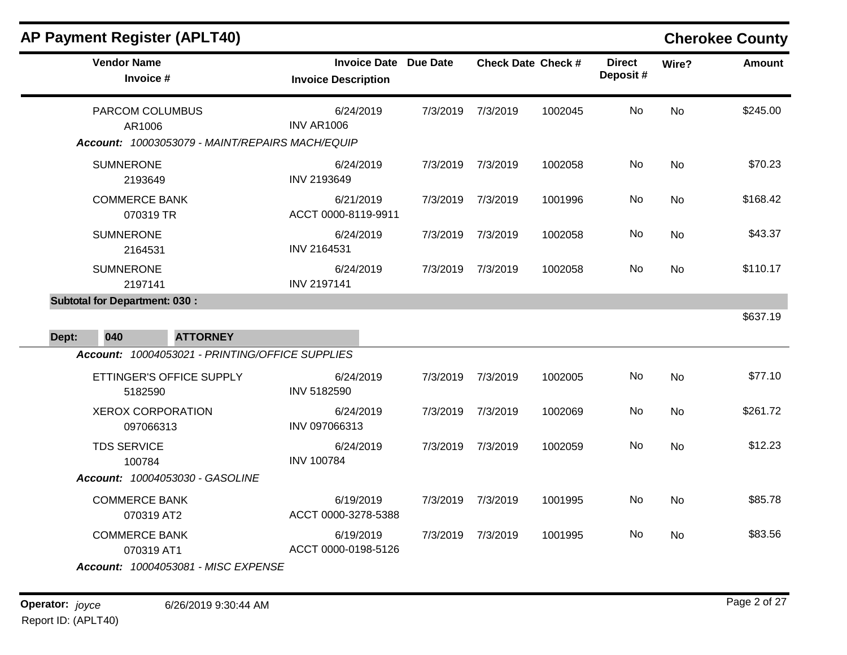| <b>AP Payment Register (APLT40)</b>  |                                                 |                                                   |          |                           |         |                           |           | <b>Cherokee County</b> |
|--------------------------------------|-------------------------------------------------|---------------------------------------------------|----------|---------------------------|---------|---------------------------|-----------|------------------------|
| <b>Vendor Name</b>                   | Invoice #                                       | <b>Invoice Date</b><br><b>Invoice Description</b> | Due Date | <b>Check Date Check #</b> |         | <b>Direct</b><br>Deposit# | Wire?     | <b>Amount</b>          |
| AR1006                               | PARCOM COLUMBUS                                 | 6/24/2019<br><b>INV AR1006</b>                    |          | 7/3/2019 7/3/2019         | 1002045 | No                        | No        | \$245.00               |
|                                      | Account: 10003053079 - MAINT/REPAIRS MACH/EQUIP |                                                   |          |                           |         |                           |           |                        |
| <b>SUMNERONE</b><br>2193649          |                                                 | 6/24/2019<br>INV 2193649                          | 7/3/2019 | 7/3/2019                  | 1002058 | No.                       | <b>No</b> | \$70.23                |
| <b>COMMERCE BANK</b>                 | 070319 TR                                       | 6/21/2019<br>ACCT 0000-8119-9911                  | 7/3/2019 | 7/3/2019                  | 1001996 | No.                       | No        | \$168.42               |
| <b>SUMNERONE</b><br>2164531          |                                                 | 6/24/2019<br>INV 2164531                          | 7/3/2019 | 7/3/2019                  | 1002058 | No                        | <b>No</b> | \$43.37                |
| <b>SUMNERONE</b><br>2197141          |                                                 | 6/24/2019<br><b>INV 2197141</b>                   | 7/3/2019 | 7/3/2019                  | 1002058 | No.                       | <b>No</b> | \$110.17               |
| <b>Subtotal for Department: 030:</b> |                                                 |                                                   |          |                           |         |                           |           |                        |
| Dept:<br>040                         | <b>ATTORNEY</b>                                 |                                                   |          |                           |         |                           |           | \$637.19               |
|                                      | Account: 10004053021 - PRINTING/OFFICE SUPPLIES |                                                   |          |                           |         |                           |           |                        |
| 5182590                              | ETTINGER'S OFFICE SUPPLY                        | 6/24/2019<br>INV 5182590                          | 7/3/2019 | 7/3/2019                  | 1002005 | No                        | <b>No</b> | \$77.10                |
|                                      | <b>XEROX CORPORATION</b><br>097066313           | 6/24/2019<br>INV 097066313                        | 7/3/2019 | 7/3/2019                  | 1002069 | No                        | <b>No</b> | \$261.72               |
| <b>TDS SERVICE</b><br>100784         |                                                 | 6/24/2019<br><b>INV 100784</b>                    | 7/3/2019 | 7/3/2019                  | 1002059 | No.                       | No        | \$12.23                |
|                                      | Account: 10004053030 - GASOLINE                 |                                                   |          |                           |         |                           |           |                        |
| <b>COMMERCE BANK</b>                 | 070319 AT2                                      | 6/19/2019<br>ACCT 0000-3278-5388                  | 7/3/2019 | 7/3/2019                  | 1001995 | No                        | <b>No</b> | \$85.78                |
| <b>COMMERCE BANK</b>                 | 070319 AT1                                      | 6/19/2019<br>ACCT 0000-0198-5126                  | 7/3/2019 | 7/3/2019                  | 1001995 | No                        | No        | \$83.56                |
|                                      | <b>Account: 10004053081 - MISC EXPENSE</b>      |                                                   |          |                           |         |                           |           |                        |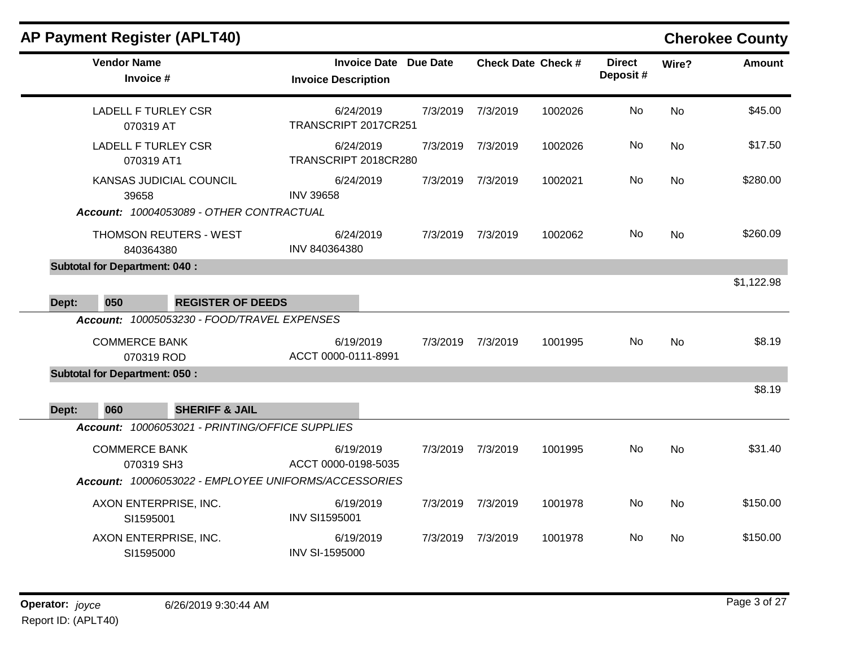### **AP Payment Register (APLT40) Cherokee County Vendor Name Invoice Date Due Date Check Date Invoice # Check Date Check # Invoice Description Direct Wire? Amount Deposit #** LADELL F TURLEY CSR 070319 AT 6/24/2019 7/3/2019 7/3/2019 1002026 No \$45.00 TRANSCRIPT 2017CR251 No LADELL F TURLEY CSR 070319 AT1 6/24/2019 7/3/2019 7/3/2019 1002026 No \$17.50 TRANSCRIPT 2018CR280 No KANSAS JUDICIAL COUNCIL 39658 6/24/2019 7/3/2019 7/3/2019 1002021 No \$280.00 INV 39658 No *Account: 10004053089 - OTHER CONTRACTUAL* THOMSON REUTERS - WEST 840364380 6/24/2019 7/3/2019 7/3/2019 1002062 No \$260.09 INV 840364380 No **Subtotal for Department: 040 :**  \$1,122.98 **Dept: 050 REGISTER OF DEEDS** *Account: 10005053230 - FOOD/TRAVEL EXPENSES* COMMERCE BANK 070319 ROD 6/19/2019 7/3/2019 7/3/2019 1001995 No \$8.19 ACCT 0000-0111-8991 No **Subtotal for Department: 050 :**  \$8.19 **Dept: 060 SHERIFF & JAIL** *Account: 10006053021 - PRINTING/OFFICE SUPPLIES* COMMERCE BANK 070319 SH3 6/19/2019 7/3/2019 7/3/2019 1001995 No \$31.40 ACCT 0000-0198-5035 No *Account: 10006053022 - EMPLOYEE UNIFORMS/ACCESSORIES* AXON ENTERPRISE, INC. SI1595001 6/19/2019 7/3/2019 7/3/2019 1001978 No \$150.00 INV SI1595001 No AXON ENTERPRISE, INC. SI1595000 6/19/2019 7/3/2019 7/3/2019 1001978 No \$150.00 INV SI-1595000 No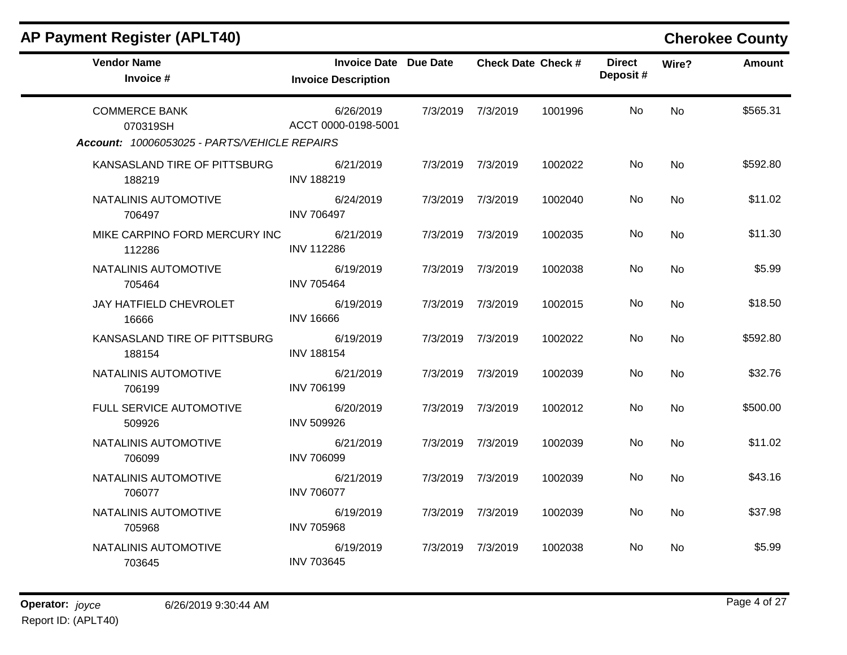| <b>AP Payment Register (APLT40)</b>                                              |                                                     |          |                           |         |                           |           |               |  |  |  |  |
|----------------------------------------------------------------------------------|-----------------------------------------------------|----------|---------------------------|---------|---------------------------|-----------|---------------|--|--|--|--|
| <b>Vendor Name</b><br>Invoice #                                                  | Invoice Date Due Date<br><b>Invoice Description</b> |          | <b>Check Date Check #</b> |         | <b>Direct</b><br>Deposit# | Wire?     | <b>Amount</b> |  |  |  |  |
| <b>COMMERCE BANK</b><br>070319SH<br>Account: 10006053025 - PARTS/VEHICLE REPAIRS | 6/26/2019<br>ACCT 0000-0198-5001                    |          | 7/3/2019 7/3/2019         | 1001996 | No                        | <b>No</b> | \$565.31      |  |  |  |  |
| KANSASLAND TIRE OF PITTSBURG<br>188219                                           | 6/21/2019<br><b>INV 188219</b>                      |          | 7/3/2019 7/3/2019         | 1002022 | No.                       | <b>No</b> | \$592.80      |  |  |  |  |
| NATALINIS AUTOMOTIVE<br>706497                                                   | 6/24/2019<br><b>INV 706497</b>                      |          | 7/3/2019 7/3/2019         | 1002040 | No                        | No        | \$11.02       |  |  |  |  |
| MIKE CARPINO FORD MERCURY INC<br>112286                                          | 6/21/2019<br><b>INV 112286</b>                      |          | 7/3/2019 7/3/2019         | 1002035 | No                        | <b>No</b> | \$11.30       |  |  |  |  |
| NATALINIS AUTOMOTIVE<br>705464                                                   | 6/19/2019<br><b>INV 705464</b>                      | 7/3/2019 | 7/3/2019                  | 1002038 | No                        | No.       | \$5.99        |  |  |  |  |
| JAY HATFIELD CHEVROLET<br>16666                                                  | 6/19/2019<br><b>INV 16666</b>                       |          | 7/3/2019 7/3/2019         | 1002015 | No.                       | No        | \$18.50       |  |  |  |  |
| KANSASLAND TIRE OF PITTSBURG<br>188154                                           | 6/19/2019<br><b>INV 188154</b>                      |          | 7/3/2019 7/3/2019         | 1002022 | No.                       | <b>No</b> | \$592.80      |  |  |  |  |
| NATALINIS AUTOMOTIVE<br>706199                                                   | 6/21/2019<br><b>INV 706199</b>                      |          | 7/3/2019 7/3/2019         | 1002039 | No.                       | No.       | \$32.76       |  |  |  |  |
| FULL SERVICE AUTOMOTIVE<br>509926                                                | 6/20/2019<br><b>INV 509926</b>                      |          | 7/3/2019 7/3/2019         | 1002012 | No.                       | No        | \$500.00      |  |  |  |  |
| NATALINIS AUTOMOTIVE<br>706099                                                   | 6/21/2019<br><b>INV 706099</b>                      |          | 7/3/2019 7/3/2019         | 1002039 | No.                       | <b>No</b> | \$11.02       |  |  |  |  |
| NATALINIS AUTOMOTIVE<br>706077                                                   | 6/21/2019<br><b>INV 706077</b>                      |          | 7/3/2019 7/3/2019         | 1002039 | No.                       | <b>No</b> | \$43.16       |  |  |  |  |
| NATALINIS AUTOMOTIVE<br>705968                                                   | 6/19/2019<br><b>INV 705968</b>                      |          | 7/3/2019 7/3/2019         | 1002039 | No.                       | <b>No</b> | \$37.98       |  |  |  |  |
| NATALINIS AUTOMOTIVE<br>703645                                                   | 6/19/2019<br><b>INV 703645</b>                      |          | 7/3/2019 7/3/2019         | 1002038 | No.                       | No        | \$5.99        |  |  |  |  |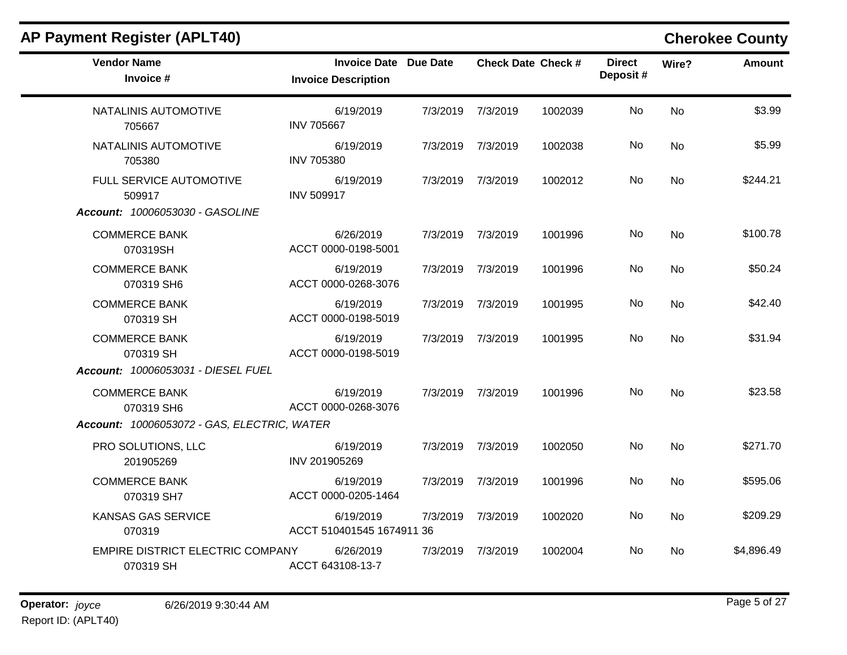| <b>Vendor Name</b><br>Invoice #               | <b>Invoice Date Due Date</b><br><b>Invoice Description</b> |          |                   | <b>Check Date Check #</b> | <b>Direct</b><br>Deposit# | Wire?     | <b>Amount</b> |
|-----------------------------------------------|------------------------------------------------------------|----------|-------------------|---------------------------|---------------------------|-----------|---------------|
| NATALINIS AUTOMOTIVE<br>705667                | 6/19/2019<br><b>INV 705667</b>                             |          | 7/3/2019 7/3/2019 | 1002039                   | No                        | <b>No</b> | \$3.99        |
| NATALINIS AUTOMOTIVE<br>705380                | 6/19/2019<br><b>INV 705380</b>                             |          | 7/3/2019 7/3/2019 | 1002038                   | No.                       | No        | \$5.99        |
| FULL SERVICE AUTOMOTIVE<br>509917             | 6/19/2019<br><b>INV 509917</b>                             |          | 7/3/2019 7/3/2019 | 1002012                   | No                        | No        | \$244.21      |
| Account: 10006053030 - GASOLINE               |                                                            |          |                   |                           |                           |           |               |
| <b>COMMERCE BANK</b><br>070319SH              | 6/26/2019<br>ACCT 0000-0198-5001                           |          | 7/3/2019 7/3/2019 | 1001996                   | No                        | <b>No</b> | \$100.78      |
| <b>COMMERCE BANK</b><br>070319 SH6            | 6/19/2019<br>ACCT 0000-0268-3076                           |          | 7/3/2019 7/3/2019 | 1001996                   | No.                       | No        | \$50.24       |
| <b>COMMERCE BANK</b><br>070319 SH             | 6/19/2019<br>ACCT 0000-0198-5019                           |          | 7/3/2019 7/3/2019 | 1001995                   | No                        | <b>No</b> | \$42.40       |
| <b>COMMERCE BANK</b><br>070319 SH             | 6/19/2019<br>ACCT 0000-0198-5019                           | 7/3/2019 | 7/3/2019          | 1001995                   | No.                       | <b>No</b> | \$31.94       |
| Account: 10006053031 - DIESEL FUEL            |                                                            |          |                   |                           |                           |           |               |
| <b>COMMERCE BANK</b><br>070319 SH6            | 6/19/2019<br>ACCT 0000-0268-3076                           |          | 7/3/2019 7/3/2019 | 1001996                   | No                        | <b>No</b> | \$23.58       |
| Account: 10006053072 - GAS, ELECTRIC, WATER   |                                                            |          |                   |                           |                           |           |               |
| PRO SOLUTIONS, LLC<br>201905269               | 6/19/2019<br>INV 201905269                                 |          | 7/3/2019 7/3/2019 | 1002050                   | No                        | <b>No</b> | \$271.70      |
| <b>COMMERCE BANK</b><br>070319 SH7            | 6/19/2019<br>ACCT 0000-0205-1464                           |          | 7/3/2019 7/3/2019 | 1001996                   | No                        | <b>No</b> | \$595.06      |
| <b>KANSAS GAS SERVICE</b><br>070319           | 6/19/2019<br>ACCT 510401545 1674911 36                     | 7/3/2019 | 7/3/2019          | 1002020                   | No.                       | <b>No</b> | \$209.29      |
| EMPIRE DISTRICT ELECTRIC COMPANY<br>070319 SH | 6/26/2019<br>ACCT 643108-13-7                              |          | 7/3/2019 7/3/2019 | 1002004                   | No.                       | No.       | \$4,896.49    |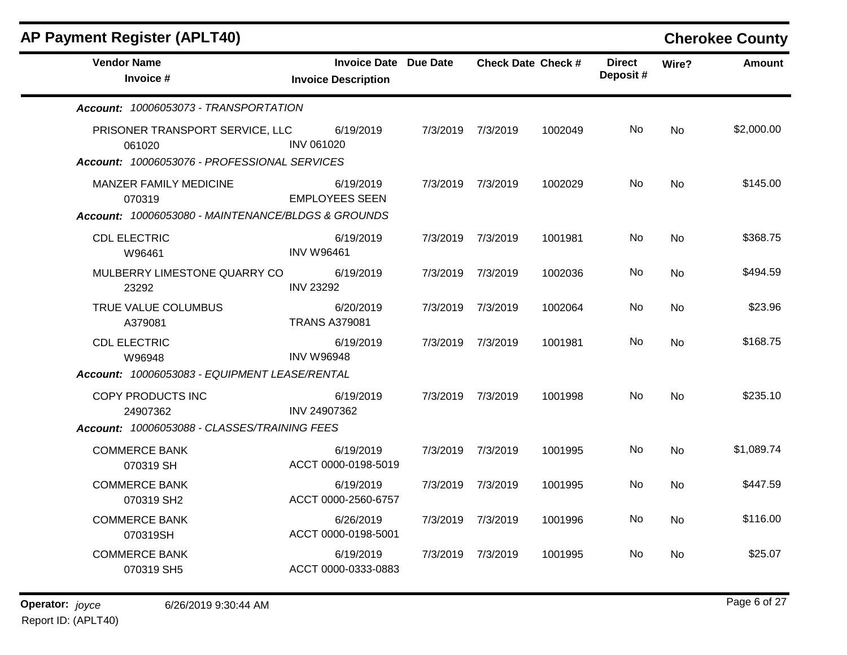| <b>AP Payment Register (APLT40)</b>                |                      |                                                            |          |                           |         |                            |           | <b>Cherokee County</b> |
|----------------------------------------------------|----------------------|------------------------------------------------------------|----------|---------------------------|---------|----------------------------|-----------|------------------------|
| <b>Vendor Name</b><br>Invoice #                    |                      | <b>Invoice Date Due Date</b><br><b>Invoice Description</b> |          | <b>Check Date Check #</b> |         | <b>Direct</b><br>Deposit # | Wire?     | <b>Amount</b>          |
| Account: 10006053073 - TRANSPORTATION              |                      |                                                            |          |                           |         |                            |           |                        |
| PRISONER TRANSPORT SERVICE, LLC<br>061020          | <b>INV 061020</b>    | 6/19/2019                                                  |          | 7/3/2019 7/3/2019         | 1002049 | No.                        | No        | \$2,000.00             |
| Account: 10006053076 - PROFESSIONAL SERVICES       |                      |                                                            |          |                           |         |                            |           |                        |
| <b>MANZER FAMILY MEDICINE</b><br>070319            |                      | 6/19/2019<br><b>EMPLOYEES SEEN</b>                         |          | 7/3/2019 7/3/2019         | 1002029 | No                         | <b>No</b> | \$145.00               |
| Account: 10006053080 - MAINTENANCE/BLDGS & GROUNDS |                      |                                                            |          |                           |         |                            |           |                        |
| <b>CDL ELECTRIC</b><br>W96461                      | <b>INV W96461</b>    | 6/19/2019                                                  | 7/3/2019 | 7/3/2019                  | 1001981 | No                         | <b>No</b> | \$368.75               |
| MULBERRY LIMESTONE QUARRY CO<br>23292              | <b>INV 23292</b>     | 6/19/2019                                                  | 7/3/2019 | 7/3/2019                  | 1002036 | No                         | No        | \$494.59               |
| TRUE VALUE COLUMBUS<br>A379081                     | <b>TRANS A379081</b> | 6/20/2019                                                  |          | 7/3/2019 7/3/2019         | 1002064 | No                         | <b>No</b> | \$23.96                |
| <b>CDL ELECTRIC</b><br>W96948                      | <b>INV W96948</b>    | 6/19/2019                                                  |          | 7/3/2019 7/3/2019         | 1001981 | No.                        | <b>No</b> | \$168.75               |
| Account: 10006053083 - EQUIPMENT LEASE/RENTAL      |                      |                                                            |          |                           |         |                            |           |                        |
| COPY PRODUCTS INC<br>24907362                      | INV 24907362         | 6/19/2019                                                  |          | 7/3/2019 7/3/2019         | 1001998 | No.                        | <b>No</b> | \$235.10               |
| Account: 10006053088 - CLASSES/TRAINING FEES       |                      |                                                            |          |                           |         |                            |           |                        |
| <b>COMMERCE BANK</b><br>070319 SH                  |                      | 6/19/2019<br>ACCT 0000-0198-5019                           | 7/3/2019 | 7/3/2019                  | 1001995 | No.                        | No        | \$1,089.74             |
| <b>COMMERCE BANK</b><br>070319 SH2                 |                      | 6/19/2019<br>ACCT 0000-2560-6757                           |          | 7/3/2019 7/3/2019         | 1001995 | No.                        | No        | \$447.59               |
| <b>COMMERCE BANK</b><br>070319SH                   |                      | 6/26/2019<br>ACCT 0000-0198-5001                           | 7/3/2019 | 7/3/2019                  | 1001996 | No.                        | <b>No</b> | \$116.00               |
| <b>COMMERCE BANK</b><br>070319 SH5                 |                      | 6/19/2019<br>ACCT 0000-0333-0883                           | 7/3/2019 | 7/3/2019                  | 1001995 | No.                        | No        | \$25.07                |
|                                                    |                      |                                                            |          |                           |         |                            |           |                        |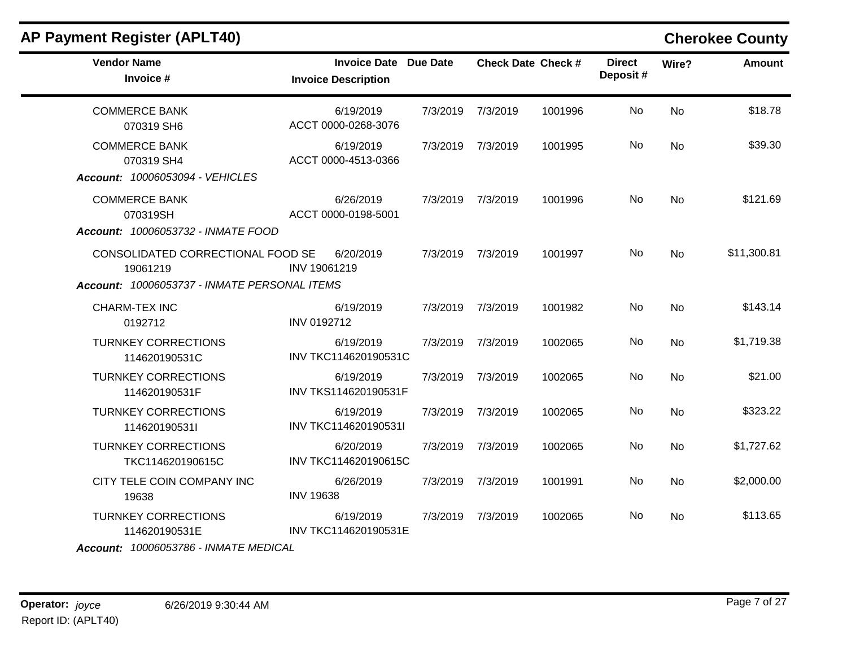| <b>AP Payment Register (APLT40)</b>                                                           |                                                            |          |          |                           |                           |           |               |  |
|-----------------------------------------------------------------------------------------------|------------------------------------------------------------|----------|----------|---------------------------|---------------------------|-----------|---------------|--|
| <b>Vendor Name</b><br>Invoice #                                                               | <b>Invoice Date Due Date</b><br><b>Invoice Description</b> |          |          | <b>Check Date Check #</b> | <b>Direct</b><br>Deposit# | Wire?     | <b>Amount</b> |  |
| <b>COMMERCE BANK</b><br>070319 SH6                                                            | 6/19/2019<br>ACCT 0000-0268-3076                           | 7/3/2019 | 7/3/2019 | 1001996                   | No.                       | <b>No</b> | \$18.78       |  |
| <b>COMMERCE BANK</b><br>070319 SH4<br>Account: 10006053094 - VEHICLES                         | 6/19/2019<br>ACCT 0000-4513-0366                           | 7/3/2019 | 7/3/2019 | 1001995                   | No                        | <b>No</b> | \$39.30       |  |
| <b>COMMERCE BANK</b><br>070319SH<br>Account: 10006053732 - INMATE FOOD                        | 6/26/2019<br>ACCT 0000-0198-5001                           | 7/3/2019 | 7/3/2019 | 1001996                   | No                        | No        | \$121.69      |  |
| CONSOLIDATED CORRECTIONAL FOOD SE<br>19061219<br>Account: 10006053737 - INMATE PERSONAL ITEMS | 6/20/2019<br>INV 19061219                                  | 7/3/2019 | 7/3/2019 | 1001997                   | No                        | <b>No</b> | \$11,300.81   |  |
| <b>CHARM-TEX INC</b><br>0192712                                                               | 6/19/2019<br><b>INV 0192712</b>                            | 7/3/2019 | 7/3/2019 | 1001982                   | No                        | No        | \$143.14      |  |
| <b>TURNKEY CORRECTIONS</b><br>114620190531C                                                   | 6/19/2019<br>INV TKC114620190531C                          | 7/3/2019 | 7/3/2019 | 1002065                   | No                        | No        | \$1,719.38    |  |
| <b>TURNKEY CORRECTIONS</b><br>114620190531F                                                   | 6/19/2019<br>INV TKS114620190531F                          | 7/3/2019 | 7/3/2019 | 1002065                   | No                        | No        | \$21.00       |  |
| <b>TURNKEY CORRECTIONS</b><br>114620190531l                                                   | 6/19/2019<br>INV TKC114620190531I                          | 7/3/2019 | 7/3/2019 | 1002065                   | No                        | No        | \$323.22      |  |
| <b>TURNKEY CORRECTIONS</b><br>TKC114620190615C                                                | 6/20/2019<br>INV TKC114620190615C                          | 7/3/2019 | 7/3/2019 | 1002065                   | No                        | <b>No</b> | \$1,727.62    |  |
| CITY TELE COIN COMPANY INC<br>19638                                                           | 6/26/2019<br><b>INV 19638</b>                              | 7/3/2019 | 7/3/2019 | 1001991                   | No.                       | No        | \$2,000.00    |  |
| <b>TURNKEY CORRECTIONS</b><br>114620190531E<br>$A$ ccount: 10006053786 - INIMATE MEDICAL      | 6/19/2019<br>INV TKC114620190531E                          | 7/3/2019 | 7/3/2019 | 1002065                   | No                        | No        | \$113.65      |  |

### *Account: 10006053786 - INMATE MEDICAL*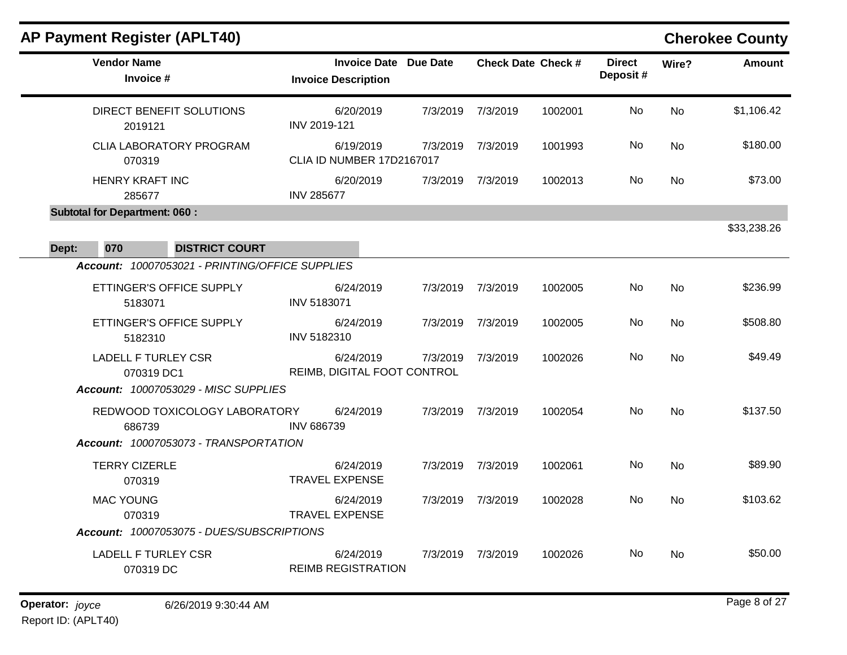|       | <b>AP Payment Register (APLT40)</b>                                             |                                                            |          |          |                           |                           |           | <b>Cherokee County</b> |
|-------|---------------------------------------------------------------------------------|------------------------------------------------------------|----------|----------|---------------------------|---------------------------|-----------|------------------------|
|       | <b>Vendor Name</b><br>Invoice #                                                 | <b>Invoice Date Due Date</b><br><b>Invoice Description</b> |          |          | <b>Check Date Check #</b> | <b>Direct</b><br>Deposit# | Wire?     | <b>Amount</b>          |
|       | DIRECT BENEFIT SOLUTIONS<br>2019121                                             | 6/20/2019<br>INV 2019-121                                  | 7/3/2019 | 7/3/2019 | 1002001                   | No                        | <b>No</b> | \$1,106.42             |
|       | <b>CLIA LABORATORY PROGRAM</b><br>070319                                        | 6/19/2019<br>CLIA ID NUMBER 17D2167017                     | 7/3/2019 | 7/3/2019 | 1001993                   | No.                       | <b>No</b> | \$180.00               |
|       | <b>HENRY KRAFT INC</b><br>285677                                                | 6/20/2019<br><b>INV 285677</b>                             | 7/3/2019 | 7/3/2019 | 1002013                   | No.                       | No        | \$73.00                |
|       | <b>Subtotal for Department: 060:</b>                                            |                                                            |          |          |                           |                           |           |                        |
|       |                                                                                 |                                                            |          |          |                           |                           |           | \$33,238.26            |
| Dept: | 070<br><b>DISTRICT COURT</b><br>Account: 10007053021 - PRINTING/OFFICE SUPPLIES |                                                            |          |          |                           |                           |           |                        |
|       |                                                                                 |                                                            |          |          |                           |                           |           |                        |
|       | ETTINGER'S OFFICE SUPPLY<br>5183071                                             | 6/24/2019<br>INV 5183071                                   | 7/3/2019 | 7/3/2019 | 1002005                   | No.                       | <b>No</b> | \$236.99               |
|       | ETTINGER'S OFFICE SUPPLY<br>5182310                                             | 6/24/2019<br>INV 5182310                                   | 7/3/2019 | 7/3/2019 | 1002005                   | No.                       | <b>No</b> | \$508.80               |
|       | <b>LADELL F TURLEY CSR</b><br>070319 DC1                                        | 6/24/2019<br>REIMB, DIGITAL FOOT CONTROL                   | 7/3/2019 | 7/3/2019 | 1002026                   | No                        | <b>No</b> | \$49.49                |
|       | Account: 10007053029 - MISC SUPPLIES                                            |                                                            |          |          |                           |                           |           |                        |
|       | REDWOOD TOXICOLOGY LABORATORY<br>686739                                         | 6/24/2019<br><b>INV 686739</b>                             | 7/3/2019 | 7/3/2019 | 1002054                   | No.                       | No        | \$137.50               |
|       | Account: 10007053073 - TRANSPORTATION                                           |                                                            |          |          |                           |                           |           |                        |
|       | <b>TERRY CIZERLE</b><br>070319                                                  | 6/24/2019<br><b>TRAVEL EXPENSE</b>                         | 7/3/2019 | 7/3/2019 | 1002061                   | No.                       | <b>No</b> | \$89.90                |
|       | <b>MAC YOUNG</b><br>070319                                                      | 6/24/2019<br><b>TRAVEL EXPENSE</b>                         | 7/3/2019 | 7/3/2019 | 1002028                   | No                        | <b>No</b> | \$103.62               |
|       | Account: 10007053075 - DUES/SUBSCRIPTIONS                                       |                                                            |          |          |                           |                           |           |                        |
|       | <b>LADELL F TURLEY CSR</b><br>070319 DC                                         | 6/24/2019<br><b>REIMB REGISTRATION</b>                     | 7/3/2019 | 7/3/2019 | 1002026                   | No.                       | <b>No</b> | \$50.00                |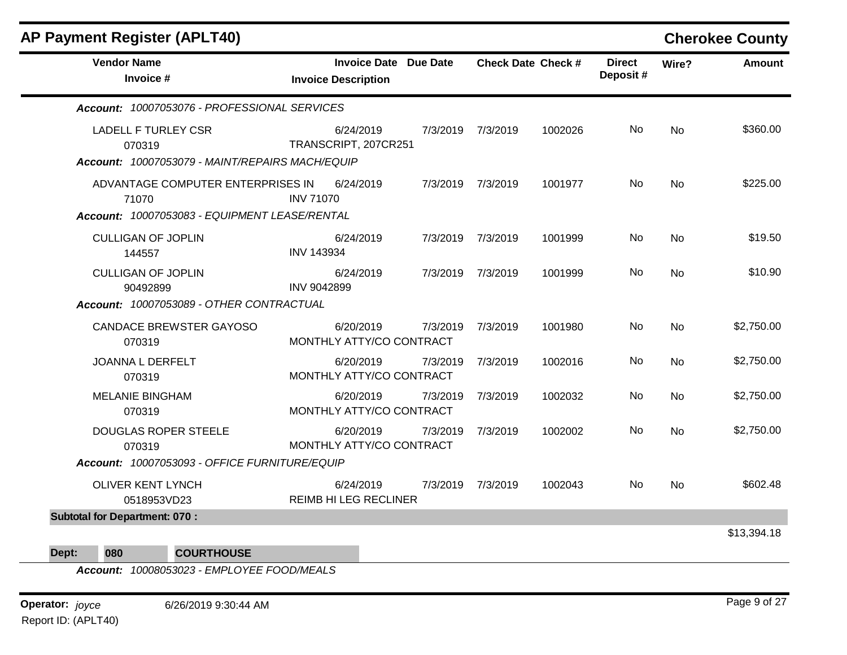| <b>AP Payment Register (APLT40)</b>                                                         |                                                     |          |                   |                           |                           |           | <b>Cherokee County</b> |
|---------------------------------------------------------------------------------------------|-----------------------------------------------------|----------|-------------------|---------------------------|---------------------------|-----------|------------------------|
| <b>Vendor Name</b><br>Invoice #                                                             | Invoice Date Due Date<br><b>Invoice Description</b> |          |                   | <b>Check Date Check #</b> | <b>Direct</b><br>Deposit# | Wire?     | <b>Amount</b>          |
| Account: 10007053076 - PROFESSIONAL SERVICES                                                |                                                     |          |                   |                           |                           |           |                        |
| <b>LADELL F TURLEY CSR</b><br>070319<br>Account: 10007053079 - MAINT/REPAIRS MACH/EQUIP     | 6/24/2019<br>TRANSCRIPT, 207CR251                   | 7/3/2019 | 7/3/2019          | 1002026                   | No                        | <b>No</b> | \$360.00               |
| ADVANTAGE COMPUTER ENTERPRISES IN<br>71070<br>Account: 10007053083 - EQUIPMENT LEASE/RENTAL | 6/24/2019<br><b>INV 71070</b>                       |          | 7/3/2019 7/3/2019 | 1001977                   | No                        | No        | \$225.00               |
| <b>CULLIGAN OF JOPLIN</b><br>144557                                                         | 6/24/2019<br><b>INV 143934</b>                      |          | 7/3/2019 7/3/2019 | 1001999                   | No.                       | <b>No</b> | \$19.50                |
| <b>CULLIGAN OF JOPLIN</b><br>90492899<br>Account: 10007053089 - OTHER CONTRACTUAL           | 6/24/2019<br><b>INV 9042899</b>                     |          | 7/3/2019 7/3/2019 | 1001999                   | No                        | <b>No</b> | \$10.90                |
| <b>CANDACE BREWSTER GAYOSO</b><br>070319                                                    | 6/20/2019<br>MONTHLY ATTY/CO CONTRACT               | 7/3/2019 | 7/3/2019          | 1001980                   | No                        | <b>No</b> | \$2,750.00             |
| JOANNA L DERFELT<br>070319                                                                  | 6/20/2019<br>MONTHLY ATTY/CO CONTRACT               | 7/3/2019 | 7/3/2019          | 1002016                   | No                        | <b>No</b> | \$2,750.00             |
| <b>MELANIE BINGHAM</b><br>070319                                                            | 6/20/2019<br>MONTHLY ATTY/CO CONTRACT               | 7/3/2019 | 7/3/2019          | 1002032                   | No                        | <b>No</b> | \$2,750.00             |
| <b>DOUGLAS ROPER STEELE</b><br>070319                                                       | 6/20/2019<br>MONTHLY ATTY/CO CONTRACT               | 7/3/2019 | 7/3/2019          | 1002002                   | No                        | <b>No</b> | \$2,750.00             |
| Account: 10007053093 - OFFICE FURNITURE/EQUIP                                               |                                                     |          |                   |                           |                           |           |                        |
| <b>OLIVER KENT LYNCH</b><br>0518953VD23                                                     | 6/24/2019<br><b>REIMB HI LEG RECLINER</b>           |          | 7/3/2019 7/3/2019 | 1002043                   | No.                       | <b>No</b> | \$602.48               |
| <b>Subtotal for Department: 070:</b>                                                        |                                                     |          |                   |                           |                           |           |                        |
|                                                                                             |                                                     |          |                   |                           |                           |           | \$13,394.18            |

### **Dept: 080 COURTHOUSE**

*Account: 10008053023 - EMPLOYEE FOOD/MEALS*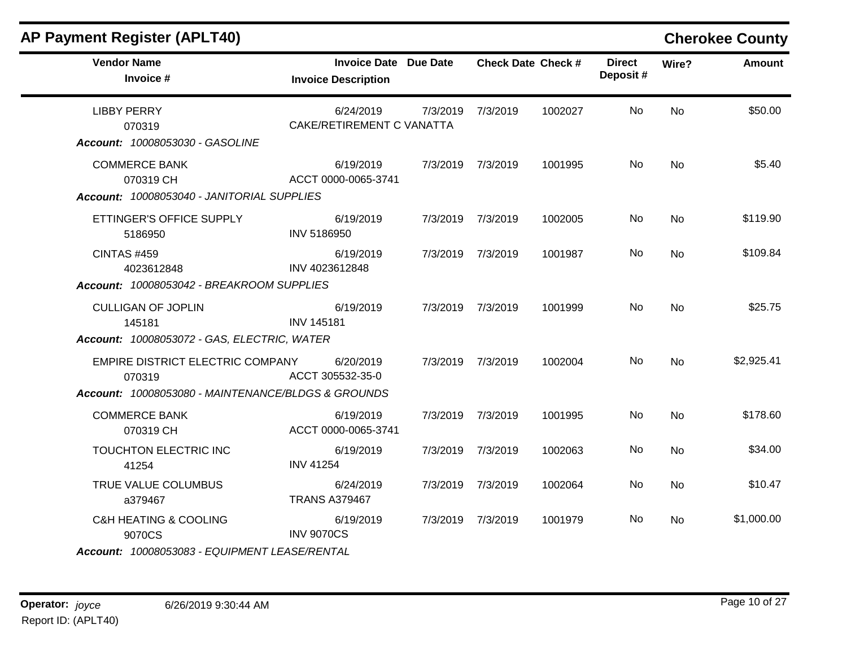| <b>AP Payment Register (APLT40)</b>                                                     |                                                            |          |                   |                           |                           |           | <b>Cherokee County</b> |
|-----------------------------------------------------------------------------------------|------------------------------------------------------------|----------|-------------------|---------------------------|---------------------------|-----------|------------------------|
| <b>Vendor Name</b><br>Invoice #                                                         | <b>Invoice Date Due Date</b><br><b>Invoice Description</b> |          |                   | <b>Check Date Check #</b> | <b>Direct</b><br>Deposit# | Wire?     | <b>Amount</b>          |
| <b>LIBBY PERRY</b><br>070319<br>Account: 10008053030 - GASOLINE                         | 6/24/2019<br>CAKE/RETIREMENT C VANATTA                     | 7/3/2019 | 7/3/2019          | 1002027                   | No.                       | <b>No</b> | \$50.00                |
| <b>COMMERCE BANK</b><br>070319 CH<br>Account: 10008053040 - JANITORIAL SUPPLIES         | 6/19/2019<br>ACCT 0000-0065-3741                           |          | 7/3/2019 7/3/2019 | 1001995                   | No.                       | <b>No</b> | \$5.40                 |
| ETTINGER'S OFFICE SUPPLY<br>5186950                                                     | 6/19/2019<br>INV 5186950                                   |          | 7/3/2019 7/3/2019 | 1002005                   | No                        | <b>No</b> | \$119.90               |
| <b>CINTAS #459</b><br>4023612848<br>Account: 10008053042 - BREAKROOM SUPPLIES           | 6/19/2019<br>INV 4023612848                                |          | 7/3/2019 7/3/2019 | 1001987                   | No.                       | No        | \$109.84               |
| <b>CULLIGAN OF JOPLIN</b><br>145181<br>Account: 10008053072 - GAS, ELECTRIC, WATER      | 6/19/2019<br><b>INV 145181</b>                             |          | 7/3/2019 7/3/2019 | 1001999                   | No.                       | <b>No</b> | \$25.75                |
| EMPIRE DISTRICT ELECTRIC COMPANY<br>070319                                              | 6/20/2019<br>ACCT 305532-35-0                              |          | 7/3/2019 7/3/2019 | 1002004                   | No                        | <b>No</b> | \$2,925.41             |
| Account: 10008053080 - MAINTENANCE/BLDGS & GROUNDS<br><b>COMMERCE BANK</b><br>070319 CH | 6/19/2019<br>ACCT 0000-0065-3741                           |          | 7/3/2019 7/3/2019 | 1001995                   | <b>No</b>                 | <b>No</b> | \$178.60               |
| TOUCHTON ELECTRIC INC<br>41254                                                          | 6/19/2019<br><b>INV 41254</b>                              |          | 7/3/2019 7/3/2019 | 1002063                   | No                        | No.       | \$34.00                |
| TRUE VALUE COLUMBUS<br>a379467                                                          | 6/24/2019<br><b>TRANS A379467</b>                          |          | 7/3/2019 7/3/2019 | 1002064                   | No                        | No        | \$10.47                |
| <b>C&amp;H HEATING &amp; COOLING</b><br>9070CS                                          | 6/19/2019<br><b>INV 9070CS</b>                             |          | 7/3/2019 7/3/2019 | 1001979                   | No.                       | No.       | \$1,000.00             |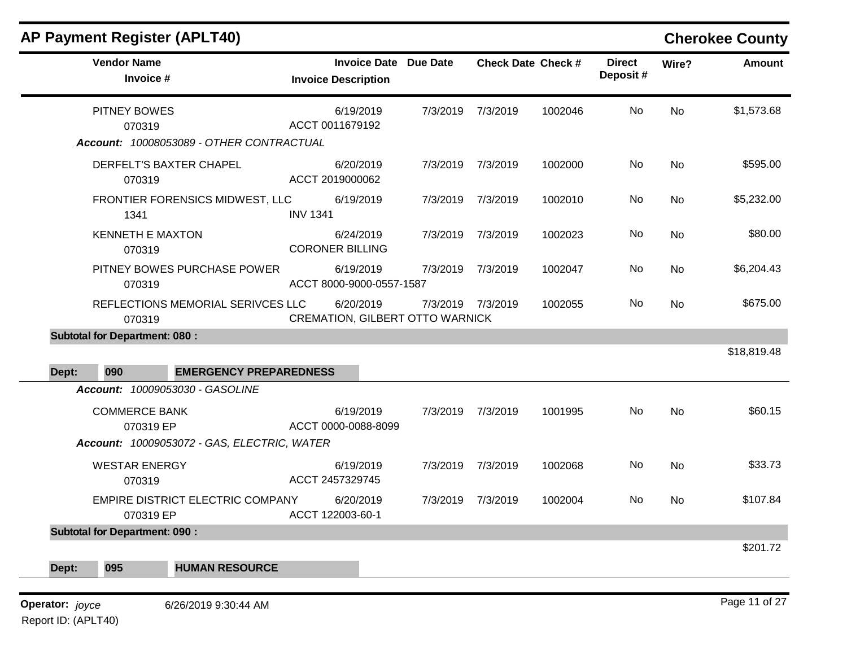| AP Payment Register (APLT40)             |                                                     |          |                           |         |                           |           | <b>Cherokee County</b> |
|------------------------------------------|-----------------------------------------------------|----------|---------------------------|---------|---------------------------|-----------|------------------------|
| <b>Vendor Name</b><br>Invoice #          | Invoice Date Due Date<br><b>Invoice Description</b> |          | <b>Check Date Check #</b> |         | <b>Direct</b><br>Deposit# | Wire?     | Amount                 |
| <b>PITNEY BOWES</b><br>070319            | 6/19/2019<br>ACCT 0011679192                        | 7/3/2019 | 7/3/2019                  | 1002046 | No                        | <b>No</b> | \$1,573.68             |
| Account: 10008053089 - OTHER CONTRACTUAL |                                                     |          |                           |         |                           |           |                        |
| DERFELT'S BAXTER CHAPEL<br>070319        | 6/20/2019<br>ACCT 2019000062                        | 7/3/2019 | 7/3/2019                  | 1002000 | No                        | <b>No</b> | \$595.00               |
|                                          | .                                                   |          |                           | .       | $\sim$ $\sim$             |           | $A = A A A A A$        |

|                 |                                      | Account: 10008053089 - OTHER CONTRACTUAL    |                                       |                                        |                   |         |     |           |               |
|-----------------|--------------------------------------|---------------------------------------------|---------------------------------------|----------------------------------------|-------------------|---------|-----|-----------|---------------|
|                 | 070319                               | DERFELT'S BAXTER CHAPEL                     | 6/20/2019<br>ACCT 2019000062          |                                        | 7/3/2019 7/3/2019 | 1002000 | No  | <b>No</b> | \$595.00      |
|                 | 1341                                 | FRONTIER FORENSICS MIDWEST, LLC             | 6/19/2019<br><b>INV 1341</b>          |                                        | 7/3/2019 7/3/2019 | 1002010 | No  | <b>No</b> | \$5,232.00    |
|                 | <b>KENNETH E MAXTON</b><br>070319    |                                             | 6/24/2019<br><b>CORONER BILLING</b>   |                                        | 7/3/2019 7/3/2019 | 1002023 | No. | <b>No</b> | \$80.00       |
|                 | 070319                               | PITNEY BOWES PURCHASE POWER                 | 6/19/2019<br>ACCT 8000-9000-0557-1587 |                                        | 7/3/2019 7/3/2019 | 1002047 | No  | <b>No</b> | \$6,204.43    |
|                 | 070319                               | REFLECTIONS MEMORIAL SERIVCES LLC           | 6/20/2019                             | <b>CREMATION, GILBERT OTTO WARNICK</b> | 7/3/2019 7/3/2019 | 1002055 | No. | <b>No</b> | \$675.00      |
|                 | <b>Subtotal for Department: 080:</b> |                                             |                                       |                                        |                   |         |     |           |               |
| Dept:           | 090                                  | <b>EMERGENCY PREPAREDNESS</b>               |                                       |                                        |                   |         |     |           | \$18,819.48   |
|                 |                                      | Account: 10009053030 - GASOLINE             |                                       |                                        |                   |         |     |           |               |
|                 | <b>COMMERCE BANK</b><br>070319 EP    |                                             | 6/19/2019<br>ACCT 0000-0088-8099      |                                        | 7/3/2019 7/3/2019 | 1001995 | No  | <b>No</b> | \$60.15       |
|                 |                                      | Account: 10009053072 - GAS, ELECTRIC, WATER |                                       |                                        |                   |         |     |           |               |
|                 | <b>WESTAR ENERGY</b><br>070319       |                                             | 6/19/2019<br>ACCT 2457329745          |                                        | 7/3/2019 7/3/2019 | 1002068 | No  | <b>No</b> | \$33.73       |
|                 | 070319 EP                            | EMPIRE DISTRICT ELECTRIC COMPANY            | 6/20/2019<br>ACCT 122003-60-1         |                                        | 7/3/2019 7/3/2019 | 1002004 | No  | <b>No</b> | \$107.84      |
|                 | <b>Subtotal for Department: 090:</b> |                                             |                                       |                                        |                   |         |     |           |               |
| Dept:           | 095                                  | <b>HUMAN RESOURCE</b>                       |                                       |                                        |                   |         |     |           | \$201.72      |
|                 |                                      |                                             |                                       |                                        |                   |         |     |           | Page 11 of 27 |
| Operator: joyce |                                      | 6/26/2019 9:30:44 AM                        |                                       |                                        |                   |         |     |           |               |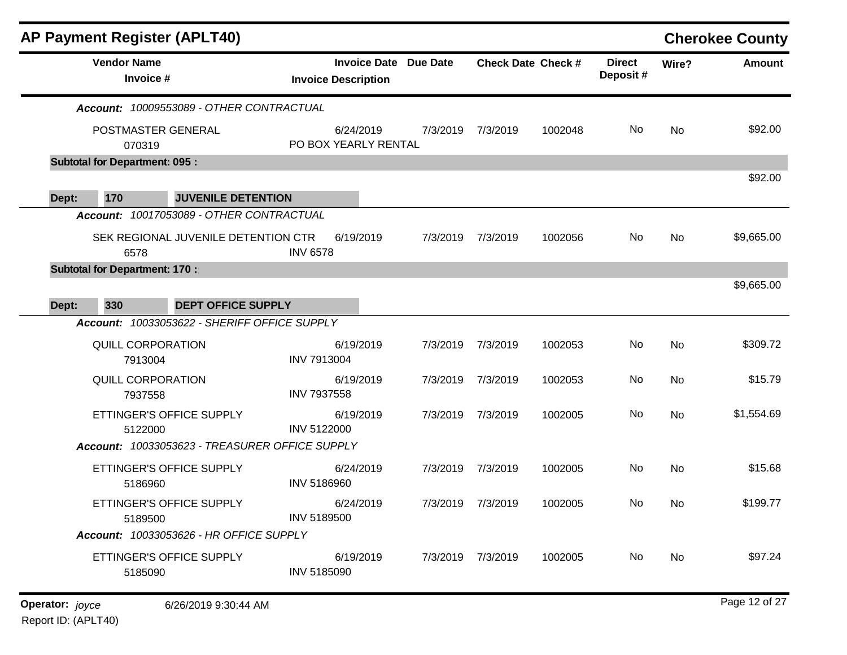| <b>AP Payment Register (APLT40)</b>            |                    |                                                            |          |                           |         |                           |       | <b>Cherokee County</b> |
|------------------------------------------------|--------------------|------------------------------------------------------------|----------|---------------------------|---------|---------------------------|-------|------------------------|
| <b>Vendor Name</b><br>Invoice #                |                    | <b>Invoice Date Due Date</b><br><b>Invoice Description</b> |          | <b>Check Date Check #</b> |         | <b>Direct</b><br>Deposit# | Wire? | <b>Amount</b>          |
| Account: 10009553089 - OTHER CONTRACTUAL       |                    |                                                            |          |                           |         |                           |       |                        |
| POSTMASTER GENERAL<br>070319                   |                    | 6/24/2019<br>PO BOX YEARLY RENTAL                          | 7/3/2019 | 7/3/2019                  | 1002048 | No                        | No    | \$92.00                |
| <b>Subtotal for Department: 095:</b>           |                    |                                                            |          |                           |         |                           |       |                        |
| 170<br><b>JUVENILE DETENTION</b><br>Dept:      |                    |                                                            |          |                           |         |                           |       | \$92.00                |
| Account: 10017053089 - OTHER CONTRACTUAL       |                    |                                                            |          |                           |         |                           |       |                        |
| SEK REGIONAL JUVENILE DETENTION CTR<br>6578    | <b>INV 6578</b>    | 6/19/2019                                                  | 7/3/2019 | 7/3/2019                  | 1002056 | No                        | No    | \$9,665.00             |
| <b>Subtotal for Department: 170:</b>           |                    |                                                            |          |                           |         |                           |       |                        |
| 330<br><b>DEPT OFFICE SUPPLY</b><br>Dept:      |                    |                                                            |          |                           |         |                           |       | \$9,665.00             |
| Account: 10033053622 - SHERIFF OFFICE SUPPLY   |                    |                                                            |          |                           |         |                           |       |                        |
| QUILL CORPORATION<br>7913004                   | <b>INV 7913004</b> | 6/19/2019                                                  | 7/3/2019 | 7/3/2019                  | 1002053 | No                        | No    | \$309.72               |
| QUILL CORPORATION<br>7937558                   | <b>INV 7937558</b> | 6/19/2019                                                  | 7/3/2019 | 7/3/2019                  | 1002053 | No                        | No    | \$15.79                |
| ETTINGER'S OFFICE SUPPLY<br>5122000            | <b>INV 5122000</b> | 6/19/2019                                                  | 7/3/2019 | 7/3/2019                  | 1002005 | No                        | No    | \$1,554.69             |
| Account: 10033053623 - TREASURER OFFICE SUPPLY |                    |                                                            |          |                           |         |                           |       |                        |
| ETTINGER'S OFFICE SUPPLY<br>5186960            | INV 5186960        | 6/24/2019                                                  | 7/3/2019 | 7/3/2019                  | 1002005 | No                        | No    | \$15.68                |
| ETTINGER'S OFFICE SUPPLY<br>5189500            | <b>INV 5189500</b> | 6/24/2019                                                  | 7/3/2019 | 7/3/2019                  | 1002005 | No                        | No    | \$199.77               |
| Account: 10033053626 - HR OFFICE SUPPLY        |                    |                                                            |          |                           |         |                           |       |                        |
| ETTINGER'S OFFICE SUPPLY<br>5185090            | INV 5185090        | 6/19/2019                                                  |          | 7/3/2019 7/3/2019         | 1002005 | No                        | No    | \$97.24                |
| Operator: joyce<br>6/26/2019 9:30:44 AM        |                    |                                                            |          |                           |         |                           |       | Page 12 of 27          |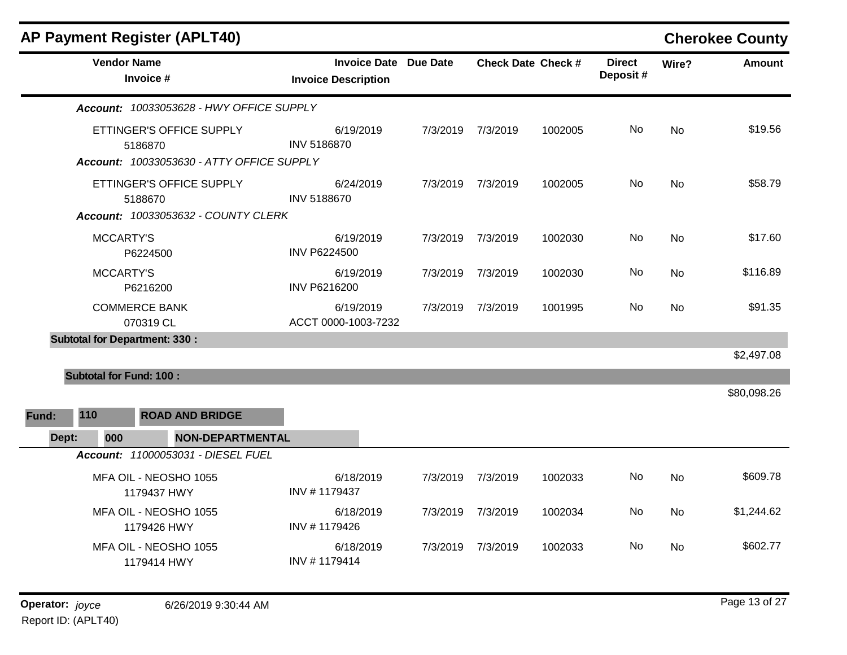| <b>AP Payment Register (APLT40)</b>                                              |                                                            |          |                   |                           |                           |           | <b>Cherokee County</b> |
|----------------------------------------------------------------------------------|------------------------------------------------------------|----------|-------------------|---------------------------|---------------------------|-----------|------------------------|
| <b>Vendor Name</b><br>Invoice #                                                  | <b>Invoice Date Due Date</b><br><b>Invoice Description</b> |          |                   | <b>Check Date Check #</b> | <b>Direct</b><br>Deposit# | Wire?     | <b>Amount</b>          |
| Account: 10033053628 - HWY OFFICE SUPPLY                                         |                                                            |          |                   |                           |                           |           |                        |
| ETTINGER'S OFFICE SUPPLY<br>5186870<br>Account: 10033053630 - ATTY OFFICE SUPPLY | 6/19/2019<br><b>INV 5186870</b>                            |          | 7/3/2019 7/3/2019 | 1002005                   | No                        | No        | \$19.56                |
| ETTINGER'S OFFICE SUPPLY<br>5188670                                              | 6/24/2019<br><b>INV 5188670</b>                            | 7/3/2019 | 7/3/2019          | 1002005                   | No                        | <b>No</b> | \$58.79                |
| Account: 10033053632 - COUNTY CLERK                                              |                                                            |          |                   |                           |                           |           |                        |
| <b>MCCARTY'S</b><br>P6224500                                                     | 6/19/2019<br><b>INV P6224500</b>                           | 7/3/2019 | 7/3/2019          | 1002030                   | No                        | No        | \$17.60                |
| <b>MCCARTY'S</b><br>P6216200                                                     | 6/19/2019<br><b>INV P6216200</b>                           | 7/3/2019 | 7/3/2019          | 1002030                   | No                        | <b>No</b> | \$116.89               |
| <b>COMMERCE BANK</b><br>070319 CL                                                | 6/19/2019<br>ACCT 0000-1003-7232                           | 7/3/2019 | 7/3/2019          | 1001995                   | No.                       | No        | \$91.35                |
| <b>Subtotal for Department: 330:</b>                                             |                                                            |          |                   |                           |                           |           |                        |
|                                                                                  |                                                            |          |                   |                           |                           |           | \$2,497.08             |
| <b>Subtotal for Fund: 100:</b><br>110<br><b>ROAD AND BRIDGE</b><br>Fund:         |                                                            |          |                   |                           |                           |           | \$80,098.26            |
| 000<br><b>NON-DEPARTMENTAL</b><br>Dept:                                          |                                                            |          |                   |                           |                           |           |                        |
| Account: 11000053031 - DIESEL FUEL                                               |                                                            |          |                   |                           |                           |           |                        |
| MFA OIL - NEOSHO 1055<br>1179437 HWY                                             | 6/18/2019<br>INV #1179437                                  | 7/3/2019 | 7/3/2019          | 1002033                   | No.                       | <b>No</b> | \$609.78               |
| MFA OIL - NEOSHO 1055<br>1179426 HWY                                             | 6/18/2019<br>INV #1179426                                  | 7/3/2019 | 7/3/2019          | 1002034                   | No.                       | No        | \$1,244.62             |
| MFA OIL - NEOSHO 1055<br>1179414 HWY                                             | 6/18/2019<br>INV #1179414                                  | 7/3/2019 | 7/3/2019          | 1002033                   | No                        | No        | \$602.77               |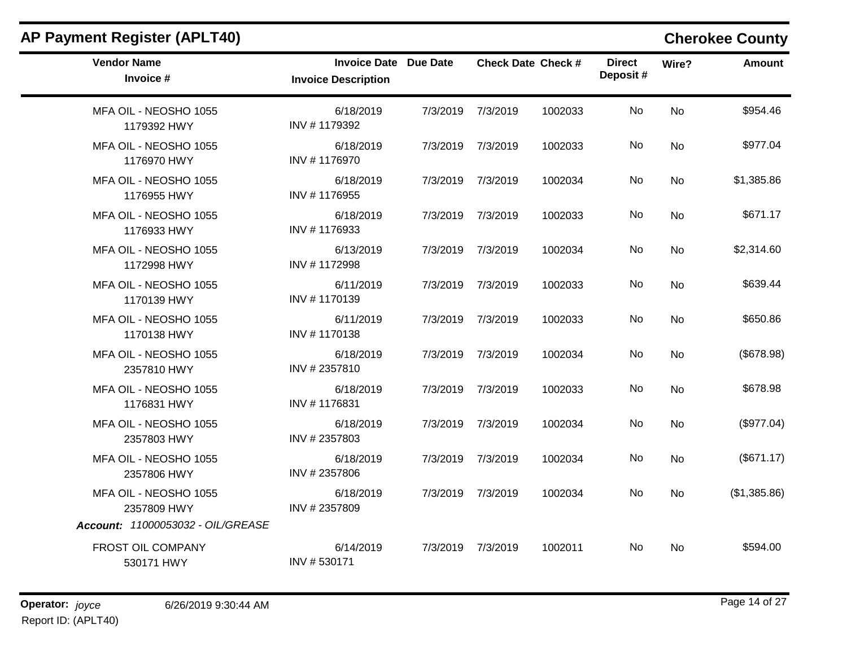| <b>AP Payment Register (APLT40)</b>  |                                                            |          |                           |         |                           |           | <b>Cherokee County</b> |
|--------------------------------------|------------------------------------------------------------|----------|---------------------------|---------|---------------------------|-----------|------------------------|
| <b>Vendor Name</b><br>Invoice #      | <b>Invoice Date Due Date</b><br><b>Invoice Description</b> |          | <b>Check Date Check #</b> |         | <b>Direct</b><br>Deposit# | Wire?     | <b>Amount</b>          |
| MFA OIL - NEOSHO 1055<br>1179392 HWY | 6/18/2019<br>INV #1179392                                  | 7/3/2019 | 7/3/2019                  | 1002033 | No.                       | <b>No</b> | \$954.46               |
| MFA OIL - NEOSHO 1055<br>1176970 HWY | 6/18/2019<br>INV #1176970                                  | 7/3/2019 | 7/3/2019                  | 1002033 | No                        | No        | \$977.04               |
| MFA OIL - NEOSHO 1055<br>1176955 HWY | 6/18/2019<br>INV #1176955                                  | 7/3/2019 | 7/3/2019                  | 1002034 | No                        | <b>No</b> | \$1,385.86             |
| MFA OIL - NEOSHO 1055<br>1176933 HWY | 6/18/2019<br>INV #1176933                                  | 7/3/2019 | 7/3/2019                  | 1002033 | No.                       | No.       | \$671.17               |
| MFA OIL - NEOSHO 1055<br>1172998 HWY | 6/13/2019<br>INV #1172998                                  | 7/3/2019 | 7/3/2019                  | 1002034 | No                        | <b>No</b> | \$2,314.60             |
| MFA OIL - NEOSHO 1055<br>1170139 HWY | 6/11/2019<br>INV #1170139                                  | 7/3/2019 | 7/3/2019                  | 1002033 | No.                       | <b>No</b> | \$639.44               |
| MFA OIL - NEOSHO 1055<br>1170138 HWY | 6/11/2019<br>INV #1170138                                  | 7/3/2019 | 7/3/2019                  | 1002033 | No.                       | <b>No</b> | \$650.86               |
| MFA OIL - NEOSHO 1055<br>2357810 HWY | 6/18/2019<br>INV #2357810                                  | 7/3/2019 | 7/3/2019                  | 1002034 | No                        | No        | (\$678.98)             |
| MFA OIL - NEOSHO 1055<br>1176831 HWY | 6/18/2019<br>INV #1176831                                  | 7/3/2019 | 7/3/2019                  | 1002033 | No.                       | No.       | \$678.98               |
| MFA OIL - NEOSHO 1055<br>2357803 HWY | 6/18/2019<br>INV #2357803                                  | 7/3/2019 | 7/3/2019                  | 1002034 | No.                       | <b>No</b> | (\$977.04)             |
| MFA OIL - NEOSHO 1055<br>2357806 HWY | 6/18/2019<br>INV #2357806                                  | 7/3/2019 | 7/3/2019                  | 1002034 | No                        | No        | (\$671.17)             |
| MFA OIL - NEOSHO 1055<br>2357809 HWY | 6/18/2019<br>INV #2357809                                  | 7/3/2019 | 7/3/2019                  | 1002034 | No.                       | No.       | (\$1,385.86)           |
| Account: 11000053032 - OIL/GREASE    |                                                            |          |                           |         |                           |           |                        |
| FROST OIL COMPANY<br>530171 HWY      | 6/14/2019<br>INV #530171                                   | 7/3/2019 | 7/3/2019                  | 1002011 | No.                       | No.       | \$594.00               |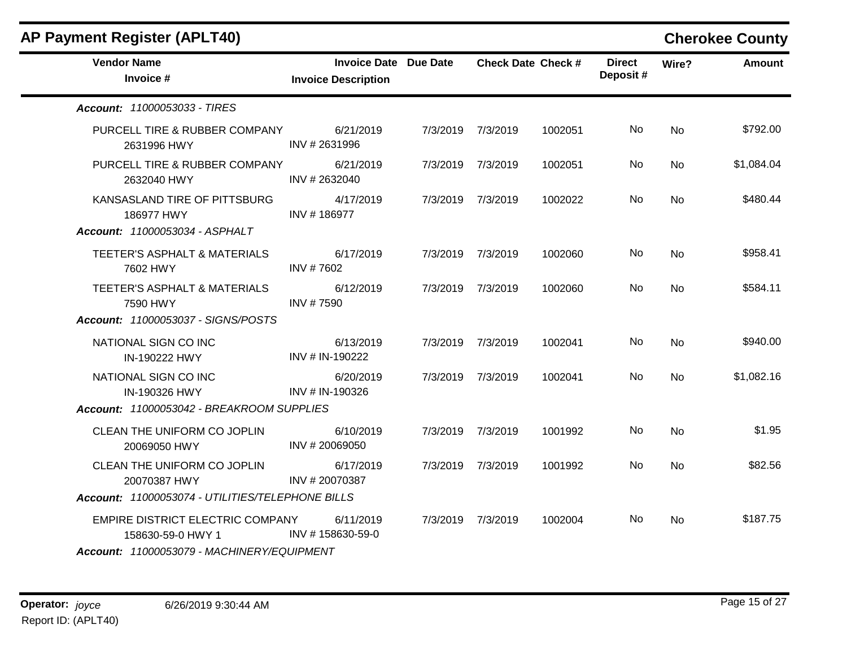| <b>AP Payment Register (APLT40)</b>                                                                 |                                                            |                   |                           |                           |           | <b>Cherokee County</b> |
|-----------------------------------------------------------------------------------------------------|------------------------------------------------------------|-------------------|---------------------------|---------------------------|-----------|------------------------|
| <b>Vendor Name</b><br>Invoice #                                                                     | <b>Invoice Date Due Date</b><br><b>Invoice Description</b> |                   | <b>Check Date Check #</b> | <b>Direct</b><br>Deposit# | Wire?     | Amount                 |
| Account: 11000053033 - TIRES                                                                        |                                                            |                   |                           |                           |           |                        |
| PURCELL TIRE & RUBBER COMPANY<br>2631996 HWY                                                        | 6/21/2019<br>INV #2631996                                  | 7/3/2019 7/3/2019 | 1002051                   | No                        | No        | \$792.00               |
| PURCELL TIRE & RUBBER COMPANY<br>2632040 HWY                                                        | 6/21/2019<br>INV #2632040                                  | 7/3/2019 7/3/2019 | 1002051                   | No.                       | No        | \$1,084.04             |
| KANSASLAND TIRE OF PITTSBURG<br>186977 HWY<br>Account: 11000053034 - ASPHALT                        | 4/17/2019<br>INV #186977                                   | 7/3/2019 7/3/2019 | 1002022                   | No                        | <b>No</b> | \$480.44               |
| TEETER'S ASPHALT & MATERIALS<br>7602 HWY                                                            | 6/17/2019<br>INV #7602                                     | 7/3/2019 7/3/2019 | 1002060                   | No                        | <b>No</b> | \$958.41               |
| TEETER'S ASPHALT & MATERIALS<br>7590 HWY                                                            | 6/12/2019<br>INV #7590                                     | 7/3/2019 7/3/2019 | 1002060                   | No.                       | <b>No</b> | \$584.11               |
| Account: 11000053037 - SIGNS/POSTS                                                                  |                                                            |                   |                           |                           |           |                        |
| NATIONAL SIGN CO INC<br>IN-190222 HWY                                                               | 6/13/2019<br>INV # IN-190222                               | 7/3/2019 7/3/2019 | 1002041                   | No.                       | <b>No</b> | \$940.00               |
| NATIONAL SIGN CO INC<br>IN-190326 HWY<br>Account: 11000053042 - BREAKROOM SUPPLIES                  | 6/20/2019<br>INV # IN-190326                               | 7/3/2019 7/3/2019 | 1002041                   | No.                       | No.       | \$1,082.16             |
| CLEAN THE UNIFORM CO JOPLIN<br>20069050 HWY                                                         | 6/10/2019<br>INV #20069050                                 | 7/3/2019 7/3/2019 | 1001992                   | No.                       | <b>No</b> | \$1.95                 |
| CLEAN THE UNIFORM CO JOPLIN<br>20070387 HWY<br>Account: 11000053074 - UTILITIES/TELEPHONE BILLS     | 6/17/2019<br>INV #20070387                                 | 7/3/2019 7/3/2019 | 1001992                   | No.                       | No        | \$82.56                |
| EMPIRE DISTRICT ELECTRIC COMPANY<br>158630-59-0 HWY 1<br>Account: 11000053079 - MACHINERY/EQUIPMENT | 6/11/2019<br>INV #158630-59-0                              | 7/3/2019 7/3/2019 | 1002004                   | No.                       | No        | \$187.75               |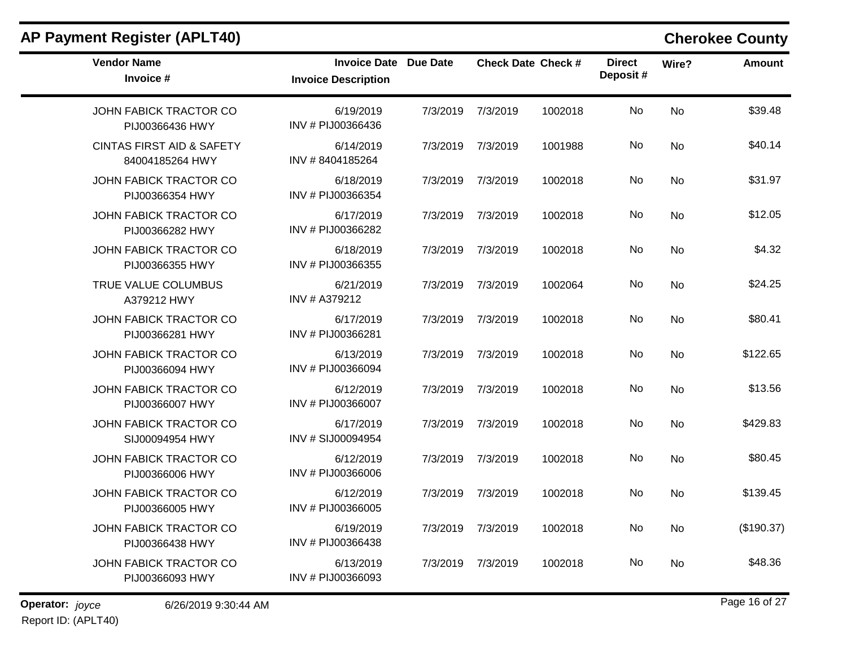| <b>Vendor Name</b><br>Invoice #                         | <b>Invoice Date Due Date</b><br><b>Invoice Description</b> |          | <b>Check Date Check #</b> |         | <b>Direct</b><br>Deposit# | Wire?     | <b>Amount</b> |
|---------------------------------------------------------|------------------------------------------------------------|----------|---------------------------|---------|---------------------------|-----------|---------------|
| <b>JOHN FABICK TRACTOR CO</b><br>PIJ00366436 HWY        | 6/19/2019<br>INV # PIJ00366436                             | 7/3/2019 | 7/3/2019                  | 1002018 | <b>No</b>                 | <b>No</b> | \$39.48       |
| <b>CINTAS FIRST AID &amp; SAFETY</b><br>84004185264 HWY | 6/14/2019<br>INV #8404185264                               | 7/3/2019 | 7/3/2019                  | 1001988 | No                        | <b>No</b> | \$40.14       |
| JOHN FABICK TRACTOR CO<br>PIJ00366354 HWY               | 6/18/2019<br>INV # PIJ00366354                             | 7/3/2019 | 7/3/2019                  | 1002018 | <b>No</b>                 | <b>No</b> | \$31.97       |
| JOHN FABICK TRACTOR CO<br>PIJ00366282 HWY               | 6/17/2019<br>INV # PIJ00366282                             | 7/3/2019 | 7/3/2019                  | 1002018 | No                        | <b>No</b> | \$12.05       |
| JOHN FABICK TRACTOR CO<br>PIJ00366355 HWY               | 6/18/2019<br>INV # PIJ00366355                             | 7/3/2019 | 7/3/2019                  | 1002018 | <b>No</b>                 | No        | \$4.32        |
| TRUE VALUE COLUMBUS<br>A379212 HWY                      | 6/21/2019<br>INV # A379212                                 | 7/3/2019 | 7/3/2019                  | 1002064 | <b>No</b>                 | <b>No</b> | \$24.25       |
| JOHN FABICK TRACTOR CO<br>PIJ00366281 HWY               | 6/17/2019<br>INV # PIJ00366281                             | 7/3/2019 | 7/3/2019                  | 1002018 | No                        | <b>No</b> | \$80.41       |
| JOHN FABICK TRACTOR CO<br>PIJ00366094 HWY               | 6/13/2019<br>INV # PIJ00366094                             | 7/3/2019 | 7/3/2019                  | 1002018 | <b>No</b>                 | <b>No</b> | \$122.65      |
| JOHN FABICK TRACTOR CO<br>PIJ00366007 HWY               | 6/12/2019<br>INV # PIJ00366007                             | 7/3/2019 | 7/3/2019                  | 1002018 | No                        | <b>No</b> | \$13.56       |
| JOHN FABICK TRACTOR CO<br>SIJ00094954 HWY               | 6/17/2019<br>INV # SIJ00094954                             | 7/3/2019 | 7/3/2019                  | 1002018 | <b>No</b>                 | <b>No</b> | \$429.83      |
| JOHN FABICK TRACTOR CO<br>PIJ00366006 HWY               | 6/12/2019<br>INV # PIJ00366006                             | 7/3/2019 | 7/3/2019                  | 1002018 | <b>No</b>                 | <b>No</b> | \$80.45       |
| JOHN FABICK TRACTOR CO<br>PIJ00366005 HWY               | 6/12/2019<br>INV # PIJ00366005                             | 7/3/2019 | 7/3/2019                  | 1002018 | No                        | <b>No</b> | \$139.45      |
| JOHN FABICK TRACTOR CO<br>PIJ00366438 HWY               | 6/19/2019<br>INV # PIJ00366438                             | 7/3/2019 | 7/3/2019                  | 1002018 | No                        | <b>No</b> | (\$190.37)    |
| JOHN FABICK TRACTOR CO<br>PIJ00366093 HWY               | 6/13/2019<br>INV # PIJ00366093                             | 7/3/2019 | 7/3/2019                  | 1002018 | No                        | <b>No</b> | \$48.36       |

**Operator:** joyce 6/26/2019 9:30:44 AM *Page 16 of 27* Report ID: (APLT40)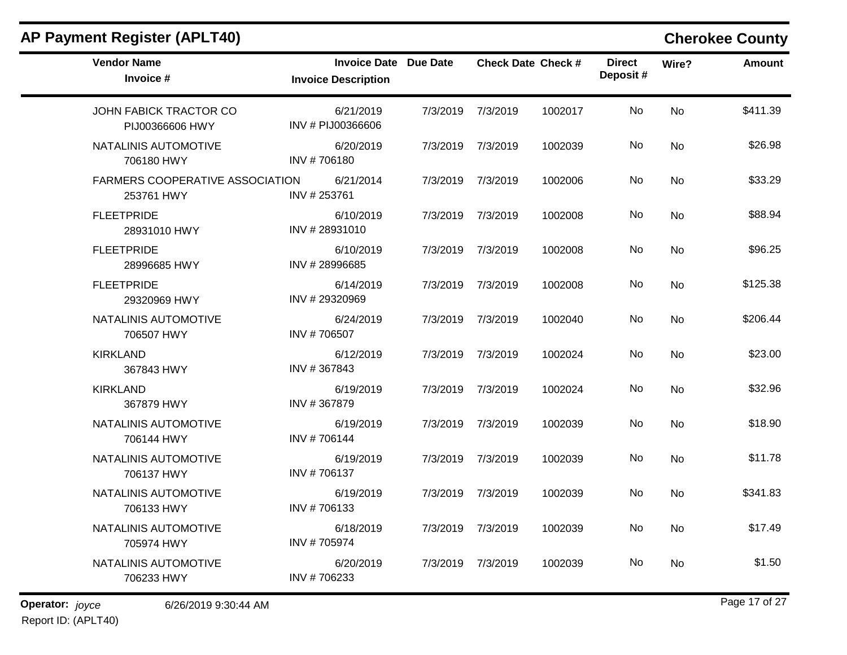| <b>AP Payment Register (APLT40)</b>                  |                                                            |          |                           |         |                           |           | <b>Cherokee County</b> |
|------------------------------------------------------|------------------------------------------------------------|----------|---------------------------|---------|---------------------------|-----------|------------------------|
| <b>Vendor Name</b><br>Invoice #                      | <b>Invoice Date Due Date</b><br><b>Invoice Description</b> |          | <b>Check Date Check #</b> |         | <b>Direct</b><br>Deposit# | Wire?     | Amount                 |
| JOHN FABICK TRACTOR CO<br>PIJ00366606 HWY            | 6/21/2019<br>INV # PIJ00366606                             | 7/3/2019 | 7/3/2019                  | 1002017 | No                        | <b>No</b> | \$411.39               |
| NATALINIS AUTOMOTIVE<br>706180 HWY                   | 6/20/2019<br>INV #706180                                   | 7/3/2019 | 7/3/2019                  | 1002039 | No                        | No        | \$26.98                |
| <b>FARMERS COOPERATIVE ASSOCIATION</b><br>253761 HWY | 6/21/2014<br>INV #253761                                   | 7/3/2019 | 7/3/2019                  | 1002006 | No                        | No        | \$33.29                |
| <b>FLEETPRIDE</b><br>28931010 HWY                    | 6/10/2019<br>INV #28931010                                 | 7/3/2019 | 7/3/2019                  | 1002008 | No                        | <b>No</b> | \$88.94                |
| <b>FLEETPRIDE</b><br>28996685 HWY                    | 6/10/2019<br>INV #28996685                                 | 7/3/2019 | 7/3/2019                  | 1002008 | No                        | <b>No</b> | \$96.25                |
| <b>FLEETPRIDE</b><br>29320969 HWY                    | 6/14/2019<br>INV #29320969                                 | 7/3/2019 | 7/3/2019                  | 1002008 | No                        | <b>No</b> | \$125.38               |
| NATALINIS AUTOMOTIVE<br>706507 HWY                   | 6/24/2019<br>INV #706507                                   | 7/3/2019 | 7/3/2019                  | 1002040 | No                        | No        | \$206.44               |
| <b>KIRKLAND</b><br>367843 HWY                        | 6/12/2019<br>INV #367843                                   | 7/3/2019 | 7/3/2019                  | 1002024 | No                        | <b>No</b> | \$23.00                |
| <b>KIRKLAND</b><br>367879 HWY                        | 6/19/2019<br>INV #367879                                   | 7/3/2019 | 7/3/2019                  | 1002024 | No                        | <b>No</b> | \$32.96                |
| NATALINIS AUTOMOTIVE<br>706144 HWY                   | 6/19/2019<br>INV #706144                                   | 7/3/2019 | 7/3/2019                  | 1002039 | No                        | No        | \$18.90                |
| NATALINIS AUTOMOTIVE<br>706137 HWY                   | 6/19/2019<br>INV #706137                                   | 7/3/2019 | 7/3/2019                  | 1002039 | No                        | No        | \$11.78                |
| NATALINIS AUTOMOTIVE<br>706133 HWY                   | 6/19/2019<br>INV #706133                                   | 7/3/2019 | 7/3/2019                  | 1002039 | No                        | <b>No</b> | \$341.83               |
| NATALINIS AUTOMOTIVE<br>705974 HWY                   | 6/18/2019<br>INV #705974                                   |          | 7/3/2019 7/3/2019         | 1002039 | No                        | No        | \$17.49                |
| NATALINIS AUTOMOTIVE<br>706233 HWY                   | 6/20/2019<br>INV #706233                                   |          | 7/3/2019 7/3/2019         | 1002039 | No                        | No        | \$1.50                 |

# Report ID: (APLT40)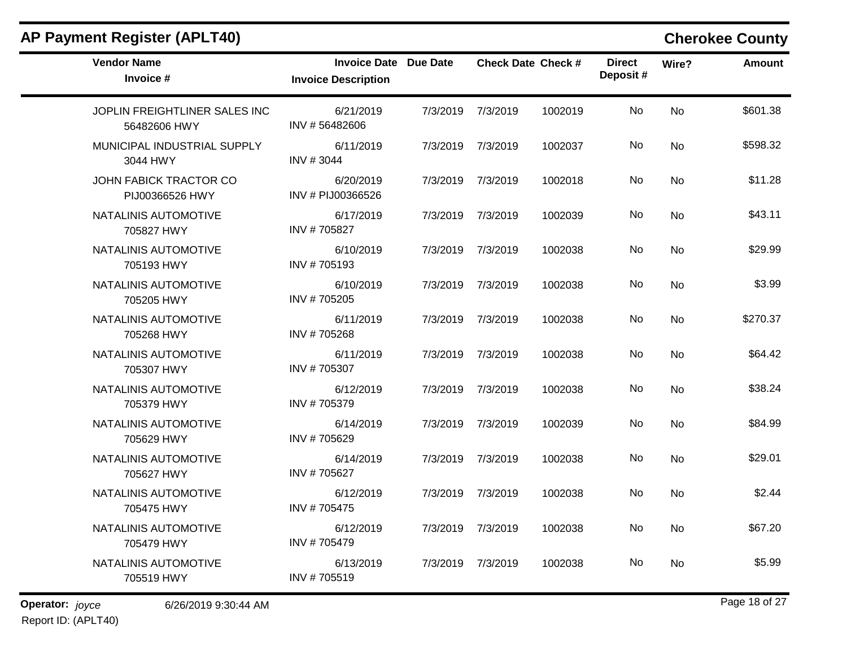| <b>Vendor Name</b><br>Invoice #               | <b>Invoice Date Due Date</b><br><b>Invoice Description</b> |          |                   | <b>Check Date Check #</b> | <b>Direct</b><br>Deposit# | Wire?     | Amount   |
|-----------------------------------------------|------------------------------------------------------------|----------|-------------------|---------------------------|---------------------------|-----------|----------|
| JOPLIN FREIGHTLINER SALES INC<br>56482606 HWY | 6/21/2019<br>INV #56482606                                 | 7/3/2019 | 7/3/2019          | 1002019                   | No                        | <b>No</b> | \$601.38 |
| MUNICIPAL INDUSTRIAL SUPPLY<br>3044 HWY       | 6/11/2019<br>INV #3044                                     |          | 7/3/2019 7/3/2019 | 1002037                   | No.                       | No        | \$598.32 |
| JOHN FABICK TRACTOR CO<br>PIJ00366526 HWY     | 6/20/2019<br>INV # PIJ00366526                             |          | 7/3/2019 7/3/2019 | 1002018                   | No                        | No        | \$11.28  |
| NATALINIS AUTOMOTIVE<br>705827 HWY            | 6/17/2019<br>INV #705827                                   |          | 7/3/2019 7/3/2019 | 1002039                   | No                        | No        | \$43.11  |
| NATALINIS AUTOMOTIVE<br>705193 HWY            | 6/10/2019<br>INV #705193                                   | 7/3/2019 | 7/3/2019          | 1002038                   | No.                       | No.       | \$29.99  |
| NATALINIS AUTOMOTIVE<br>705205 HWY            | 6/10/2019<br>INV #705205                                   | 7/3/2019 | 7/3/2019          | 1002038                   | No                        | <b>No</b> | \$3.99   |
| NATALINIS AUTOMOTIVE<br>705268 HWY            | 6/11/2019<br>INV #705268                                   |          | 7/3/2019 7/3/2019 | 1002038                   | No.                       | <b>No</b> | \$270.37 |
| NATALINIS AUTOMOTIVE<br>705307 HWY            | 6/11/2019<br>INV #705307                                   | 7/3/2019 | 7/3/2019          | 1002038                   | No                        | <b>No</b> | \$64.42  |
| NATALINIS AUTOMOTIVE<br>705379 HWY            | 6/12/2019<br>INV #705379                                   | 7/3/2019 | 7/3/2019          | 1002038                   | No.                       | <b>No</b> | \$38.24  |
| NATALINIS AUTOMOTIVE<br>705629 HWY            | 6/14/2019<br>INV #705629                                   |          | 7/3/2019 7/3/2019 | 1002039                   | No                        | <b>No</b> | \$84.99  |
| NATALINIS AUTOMOTIVE<br>705627 HWY            | 6/14/2019<br>INV #705627                                   |          | 7/3/2019 7/3/2019 | 1002038                   | No.                       | No        | \$29.01  |
| NATALINIS AUTOMOTIVE<br>705475 HWY            | 6/12/2019<br>INV #705475                                   |          | 7/3/2019 7/3/2019 | 1002038                   | No                        | No.       | \$2.44   |
| NATALINIS AUTOMOTIVE<br>705479 HWY            | 6/12/2019<br>INV #705479                                   |          | 7/3/2019 7/3/2019 | 1002038                   | No                        | No        | \$67.20  |
| NATALINIS AUTOMOTIVE<br>705519 HWY            | 6/13/2019<br>INV #705519                                   | 7/3/2019 | 7/3/2019          | 1002038                   | No.                       | No.       | \$5.99   |

**Operator:** joyce 6/26/2019 9:30:44 AM **Page 18 of 27** Report ID: (APLT40)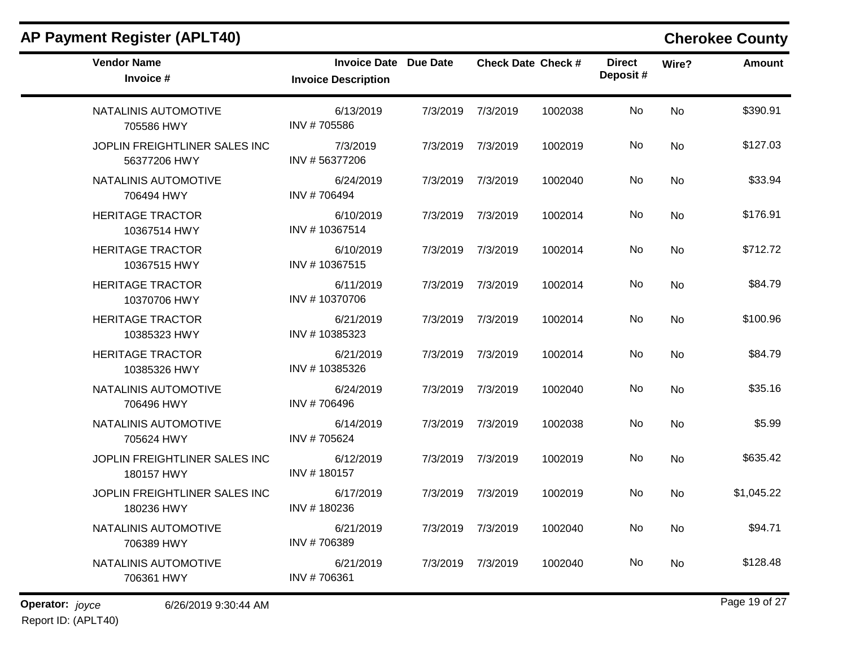| <b>AP Payment Register (APLT40)</b>           |                                                            |          |                           |         |                           |           | <b>Cherokee County</b> |
|-----------------------------------------------|------------------------------------------------------------|----------|---------------------------|---------|---------------------------|-----------|------------------------|
| <b>Vendor Name</b><br>Invoice #               | <b>Invoice Date Due Date</b><br><b>Invoice Description</b> |          | <b>Check Date Check #</b> |         | <b>Direct</b><br>Deposit# | Wire?     | Amount                 |
| NATALINIS AUTOMOTIVE<br>705586 HWY            | 6/13/2019<br>INV #705586                                   | 7/3/2019 | 7/3/2019                  | 1002038 | No                        | <b>No</b> | \$390.91               |
| JOPLIN FREIGHTLINER SALES INC<br>56377206 HWY | 7/3/2019<br>INV #56377206                                  | 7/3/2019 | 7/3/2019                  | 1002019 | No                        | No        | \$127.03               |
| NATALINIS AUTOMOTIVE<br>706494 HWY            | 6/24/2019<br>INV #706494                                   | 7/3/2019 | 7/3/2019                  | 1002040 | No                        | No        | \$33.94                |
| <b>HERITAGE TRACTOR</b><br>10367514 HWY       | 6/10/2019<br>INV #10367514                                 | 7/3/2019 | 7/3/2019                  | 1002014 | No                        | <b>No</b> | \$176.91               |
| <b>HERITAGE TRACTOR</b><br>10367515 HWY       | 6/10/2019<br>INV #10367515                                 | 7/3/2019 | 7/3/2019                  | 1002014 | No                        | <b>No</b> | \$712.72               |
| <b>HERITAGE TRACTOR</b><br>10370706 HWY       | 6/11/2019<br>INV #10370706                                 | 7/3/2019 | 7/3/2019                  | 1002014 | No                        | No        | \$84.79                |
| <b>HERITAGE TRACTOR</b><br>10385323 HWY       | 6/21/2019<br>INV #10385323                                 | 7/3/2019 | 7/3/2019                  | 1002014 | No                        | No        | \$100.96               |
| <b>HERITAGE TRACTOR</b><br>10385326 HWY       | 6/21/2019<br>INV #10385326                                 | 7/3/2019 | 7/3/2019                  | 1002014 | No                        | <b>No</b> | \$84.79                |
| NATALINIS AUTOMOTIVE<br>706496 HWY            | 6/24/2019<br>INV #706496                                   | 7/3/2019 | 7/3/2019                  | 1002040 | No                        | <b>No</b> | \$35.16                |
| NATALINIS AUTOMOTIVE<br>705624 HWY            | 6/14/2019<br>INV #705624                                   | 7/3/2019 | 7/3/2019                  | 1002038 | No                        | No        | \$5.99                 |
| JOPLIN FREIGHTLINER SALES INC<br>180157 HWY   | 6/12/2019<br>INV #180157                                   | 7/3/2019 | 7/3/2019                  | 1002019 | No                        | No        | \$635.42               |
| JOPLIN FREIGHTLINER SALES INC<br>180236 HWY   | 6/17/2019<br>INV #180236                                   | 7/3/2019 | 7/3/2019                  | 1002019 | No                        | <b>No</b> | \$1,045.22             |
| NATALINIS AUTOMOTIVE<br>706389 HWY            | 6/21/2019<br>INV #706389                                   |          | 7/3/2019 7/3/2019         | 1002040 | No                        | No        | \$94.71                |
| NATALINIS AUTOMOTIVE<br>706361 HWY            | 6/21/2019<br>INV #706361                                   |          | 7/3/2019 7/3/2019         | 1002040 | No                        | No        | \$128.48               |

Report ID: (APLT40)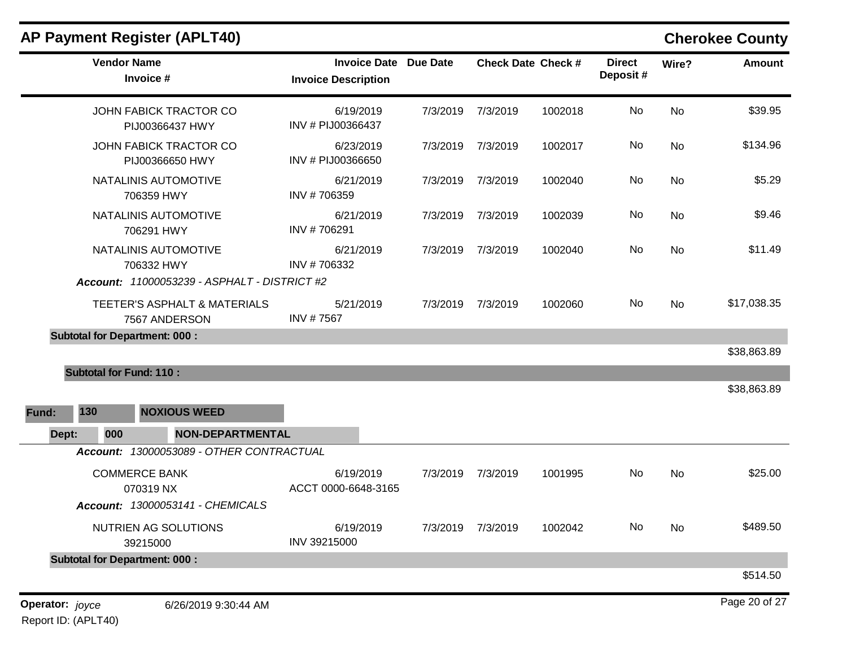|                 | <b>Vendor Name</b>             | Invoice #                                     | <b>Invoice Date Due Date</b><br><b>Invoice Description</b> |          |          | <b>Check Date Check #</b> | <b>Direct</b><br>Deposit# | Wire?     | <b>Amount</b> |
|-----------------|--------------------------------|-----------------------------------------------|------------------------------------------------------------|----------|----------|---------------------------|---------------------------|-----------|---------------|
|                 |                                | JOHN FABICK TRACTOR CO<br>PIJ00366437 HWY     | 6/19/2019<br>INV # PIJ00366437                             | 7/3/2019 | 7/3/2019 | 1002018                   | No                        | No        | \$39.95       |
|                 |                                | JOHN FABICK TRACTOR CO<br>PIJ00366650 HWY     | 6/23/2019<br>INV # PIJ00366650                             | 7/3/2019 | 7/3/2019 | 1002017                   | No                        | No        | \$134.96      |
|                 |                                | NATALINIS AUTOMOTIVE<br>706359 HWY            | 6/21/2019<br>INV #706359                                   | 7/3/2019 | 7/3/2019 | 1002040                   | No                        | No        | \$5.29        |
|                 |                                | NATALINIS AUTOMOTIVE<br>706291 HWY            | 6/21/2019<br>INV #706291                                   | 7/3/2019 | 7/3/2019 | 1002039                   | No                        | No.       | \$9.46        |
|                 |                                | NATALINIS AUTOMOTIVE<br>706332 HWY            | 6/21/2019<br>INV #706332                                   | 7/3/2019 | 7/3/2019 | 1002040                   | No                        | <b>No</b> | \$11.49       |
|                 |                                | Account: 11000053239 - ASPHALT - DISTRICT #2  |                                                            |          |          |                           |                           |           |               |
|                 |                                | TEETER'S ASPHALT & MATERIALS<br>7567 ANDERSON | 5/21/2019<br>INV #7567                                     | 7/3/2019 | 7/3/2019 | 1002060                   | No                        | No.       | \$17,038.35   |
|                 |                                | <b>Subtotal for Department: 000:</b>          |                                                            |          |          |                           |                           |           |               |
|                 |                                |                                               |                                                            |          |          |                           |                           |           | \$38,863.89   |
|                 | <b>Subtotal for Fund: 110:</b> |                                               |                                                            |          |          |                           |                           |           |               |
|                 |                                |                                               |                                                            |          |          |                           |                           |           | \$38,863.89   |
| Fund:           | 130                            | <b>NOXIOUS WEED</b>                           |                                                            |          |          |                           |                           |           |               |
| Dept:           | 000                            | <b>NON-DEPARTMENTAL</b>                       |                                                            |          |          |                           |                           |           |               |
|                 |                                | Account: 13000053089 - OTHER CONTRACTUAL      |                                                            |          |          |                           |                           |           |               |
|                 |                                | <b>COMMERCE BANK</b><br>070319 NX             | 6/19/2019<br>ACCT 0000-6648-3165                           | 7/3/2019 | 7/3/2019 | 1001995                   | No                        | No        | \$25.00       |
|                 |                                | Account: 13000053141 - CHEMICALS              |                                                            |          |          |                           |                           |           |               |
|                 |                                | NUTRIEN AG SOLUTIONS<br>39215000              | 6/19/2019<br>INV 39215000                                  | 7/3/2019 | 7/3/2019 | 1002042                   | No.                       | No        | \$489.50      |
|                 |                                | <b>Subtotal for Department: 000:</b>          |                                                            |          |          |                           |                           |           |               |
|                 |                                |                                               |                                                            |          |          |                           |                           |           | \$514.50      |
| Operator: joyce |                                | 6/26/2019 9:30:44 AM                          |                                                            |          |          |                           |                           |           | Page 20 of 27 |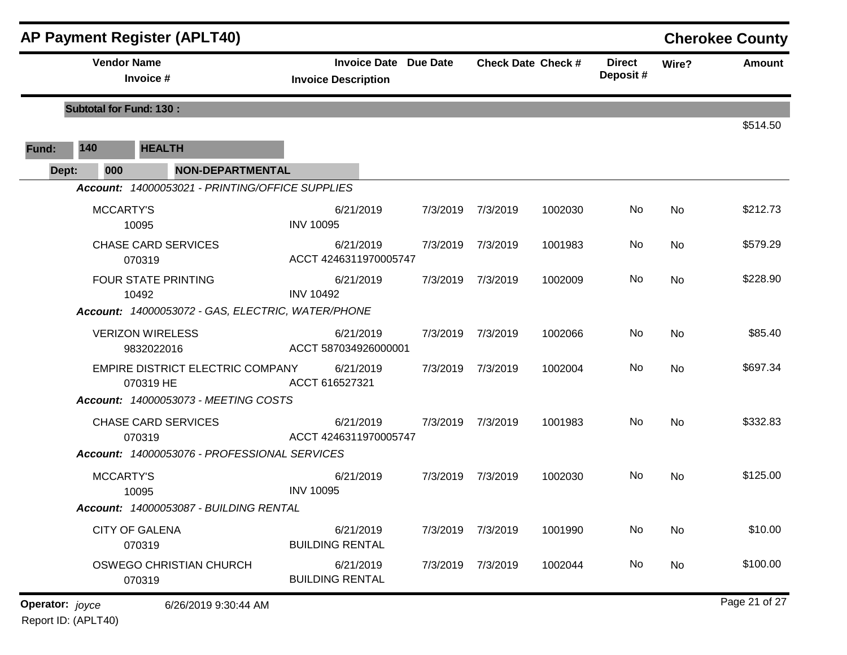|                 |                  | <b>AP Payment Register (APLT40)</b>               |                                                            |          |                   |                           |                           |           | <b>Cherokee County</b> |
|-----------------|------------------|---------------------------------------------------|------------------------------------------------------------|----------|-------------------|---------------------------|---------------------------|-----------|------------------------|
|                 |                  | <b>Vendor Name</b><br>Invoice #                   | <b>Invoice Date Due Date</b><br><b>Invoice Description</b> |          |                   | <b>Check Date Check #</b> | <b>Direct</b><br>Deposit# | Wire?     | <b>Amount</b>          |
|                 |                  | <b>Subtotal for Fund: 130:</b>                    |                                                            |          |                   |                           |                           |           | \$514.50               |
| Fund:           | 140              | <b>HEALTH</b>                                     |                                                            |          |                   |                           |                           |           |                        |
| Dept:           | 000              | <b>NON-DEPARTMENTAL</b>                           |                                                            |          |                   |                           |                           |           |                        |
|                 |                  | Account: 14000053021 - PRINTING/OFFICE SUPPLIES   |                                                            |          |                   |                           |                           |           |                        |
|                 | <b>MCCARTY'S</b> | 10095                                             | 6/21/2019<br><b>INV 10095</b>                              | 7/3/2019 | 7/3/2019          | 1002030                   | No                        | No        | \$212.73               |
|                 |                  | <b>CHASE CARD SERVICES</b><br>070319              | 6/21/2019<br>ACCT 4246311970005747                         |          | 7/3/2019 7/3/2019 | 1001983                   | No                        | No        | \$579.29               |
|                 |                  | <b>FOUR STATE PRINTING</b><br>10492               | 6/21/2019<br><b>INV 10492</b>                              |          | 7/3/2019 7/3/2019 | 1002009                   | No                        | No        | \$228.90               |
|                 |                  | Account: 14000053072 - GAS, ELECTRIC, WATER/PHONE |                                                            |          |                   |                           |                           |           |                        |
|                 |                  | <b>VERIZON WIRELESS</b><br>9832022016             | 6/21/2019<br>ACCT 587034926000001                          | 7/3/2019 | 7/3/2019          | 1002066                   | No                        | No        | \$85.40                |
|                 |                  | EMPIRE DISTRICT ELECTRIC COMPANY<br>070319 HE     | 6/21/2019<br>ACCT 616527321                                |          | 7/3/2019 7/3/2019 | 1002004                   | No                        | No        | \$697.34               |
|                 |                  | Account: 14000053073 - MEETING COSTS              |                                                            |          |                   |                           |                           |           |                        |
|                 |                  | <b>CHASE CARD SERVICES</b><br>070319              | 6/21/2019<br>ACCT 4246311970005747                         | 7/3/2019 | 7/3/2019          | 1001983                   | No                        | No        | \$332.83               |
|                 |                  | Account: 14000053076 - PROFESSIONAL SERVICES      |                                                            |          |                   |                           |                           |           |                        |
|                 | MCCARTY'S        | 10095                                             | 6/21/2019<br><b>INV 10095</b>                              | 7/3/2019 | 7/3/2019          | 1002030                   | No                        | No        | \$125.00               |
|                 |                  | Account: 14000053087 - BUILDING RENTAL            |                                                            |          |                   |                           |                           |           |                        |
|                 |                  | <b>CITY OF GALENA</b><br>070319                   | 6/21/2019<br><b>BUILDING RENTAL</b>                        |          | 7/3/2019 7/3/2019 | 1001990                   | No                        | <b>No</b> | \$10.00                |
|                 |                  | OSWEGO CHRISTIAN CHURCH<br>070319                 | 6/21/2019<br><b>BUILDING RENTAL</b>                        |          | 7/3/2019 7/3/2019 | 1002044                   | No                        | No        | \$100.00               |
| Operator: joyce |                  | 6/26/2019 9:30:44 AM                              |                                                            |          |                   |                           |                           |           | Page 21 of 27          |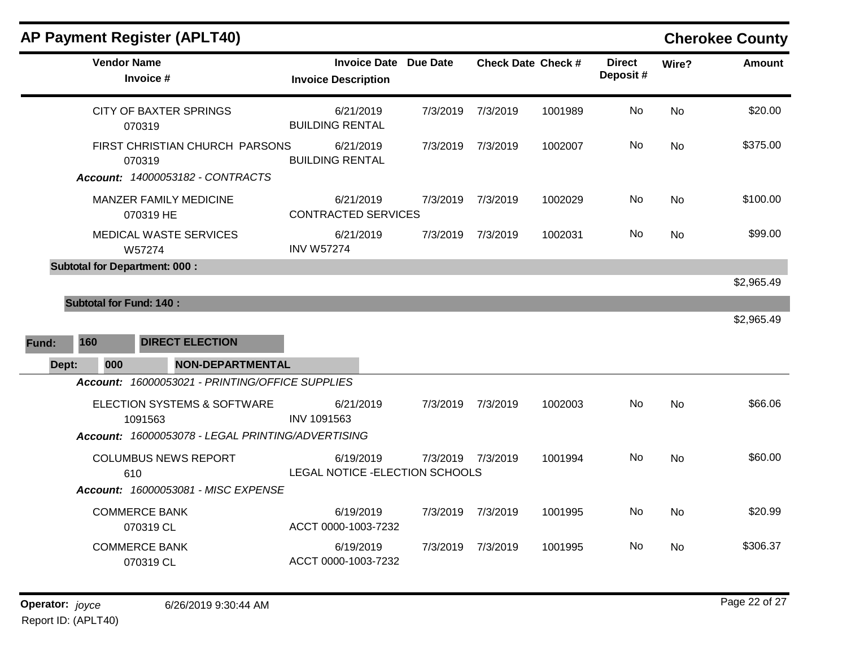| <b>AP Payment Register (APLT40)</b>                                      |                                                            |          |                           |         |                           |           | <b>Cherokee County</b> |
|--------------------------------------------------------------------------|------------------------------------------------------------|----------|---------------------------|---------|---------------------------|-----------|------------------------|
| <b>Vendor Name</b><br>Invoice #                                          | <b>Invoice Date Due Date</b><br><b>Invoice Description</b> |          | <b>Check Date Check #</b> |         | <b>Direct</b><br>Deposit# | Wire?     | <b>Amount</b>          |
| <b>CITY OF BAXTER SPRINGS</b><br>070319                                  | 6/21/2019<br><b>BUILDING RENTAL</b>                        | 7/3/2019 | 7/3/2019                  | 1001989 | No                        | No        | \$20.00                |
| FIRST CHRISTIAN CHURCH PARSONS<br>070319                                 | 6/21/2019<br><b>BUILDING RENTAL</b>                        |          | 7/3/2019 7/3/2019         | 1002007 | No                        | <b>No</b> | \$375.00               |
| Account: 14000053182 - CONTRACTS                                         |                                                            |          |                           |         |                           |           |                        |
| MANZER FAMILY MEDICINE<br>070319 HE                                      | 6/21/2019<br><b>CONTRACTED SERVICES</b>                    | 7/3/2019 | 7/3/2019                  | 1002029 | No.                       | No        | \$100.00               |
| <b>MEDICAL WASTE SERVICES</b><br>W57274                                  | 6/21/2019<br><b>INV W57274</b>                             |          | 7/3/2019 7/3/2019         | 1002031 | No.                       | No.       | \$99.00                |
| <b>Subtotal for Department: 000:</b>                                     |                                                            |          |                           |         |                           |           |                        |
| <b>Subtotal for Fund: 140:</b><br><b>DIRECT ELECTION</b><br>160<br>Fund: |                                                            |          |                           |         |                           |           | \$2,965.49             |
| 000<br><b>NON-DEPARTMENTAL</b><br>Dept:                                  |                                                            |          |                           |         |                           |           |                        |
| Account: 16000053021 - PRINTING/OFFICE SUPPLIES                          |                                                            |          |                           |         |                           |           |                        |
| <b>ELECTION SYSTEMS &amp; SOFTWARE</b><br>1091563                        | 6/21/2019<br>INV 1091563                                   |          | 7/3/2019 7/3/2019         | 1002003 | No                        | <b>No</b> | \$66.06                |
| Account: 16000053078 - LEGAL PRINTING/ADVERTISING                        |                                                            |          |                           |         |                           |           |                        |
| <b>COLUMBUS NEWS REPORT</b><br>610                                       | 6/19/2019<br>LEGAL NOTICE - ELECTION SCHOOLS               |          | 7/3/2019 7/3/2019         | 1001994 | No.                       | No        | \$60.00                |
| Account: 16000053081 - MISC EXPENSE                                      |                                                            |          |                           |         |                           |           |                        |
| <b>COMMERCE BANK</b><br>070319 CL                                        | 6/19/2019<br>ACCT 0000-1003-7232                           | 7/3/2019 | 7/3/2019                  | 1001995 | No.                       | <b>No</b> | \$20.99                |
| <b>COMMERCE BANK</b><br>070319 CL                                        | 6/19/2019<br>ACCT 0000-1003-7232                           | 7/3/2019 | 7/3/2019                  | 1001995 | No.                       | No.       | \$306.37               |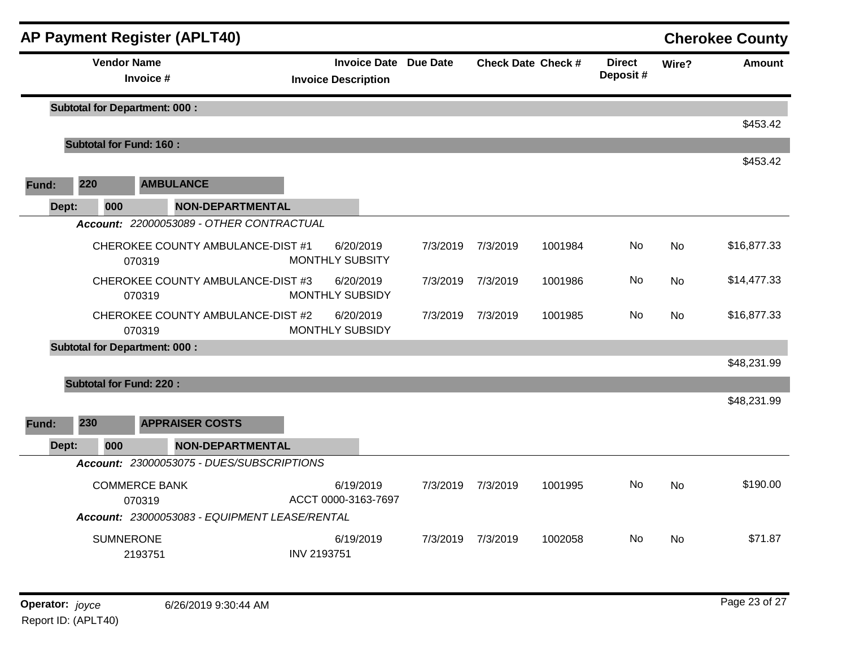|       |                                      |                                 | <b>AP Payment Register (APLT40)</b>                                 |                            |           |                              |                   |                           |                           |           | <b>Cherokee County</b> |
|-------|--------------------------------------|---------------------------------|---------------------------------------------------------------------|----------------------------|-----------|------------------------------|-------------------|---------------------------|---------------------------|-----------|------------------------|
|       |                                      | <b>Vendor Name</b><br>Invoice # |                                                                     | <b>Invoice Description</b> |           | <b>Invoice Date Due Date</b> |                   | <b>Check Date Check #</b> | <b>Direct</b><br>Deposit# | Wire?     | <b>Amount</b>          |
|       | <b>Subtotal for Department: 000:</b> |                                 |                                                                     |                            |           |                              |                   |                           |                           |           |                        |
|       |                                      |                                 |                                                                     |                            |           |                              |                   |                           |                           |           | \$453.42               |
|       | <b>Subtotal for Fund: 160:</b>       |                                 |                                                                     |                            |           |                              |                   |                           |                           |           | \$453.42               |
| Fund: | 220                                  |                                 | <b>AMBULANCE</b>                                                    |                            |           |                              |                   |                           |                           |           |                        |
|       |                                      |                                 |                                                                     |                            |           |                              |                   |                           |                           |           |                        |
| Dept: | 000                                  |                                 | <b>NON-DEPARTMENTAL</b><br>Account: 22000053089 - OTHER CONTRACTUAL |                            |           |                              |                   |                           |                           |           |                        |
|       |                                      |                                 |                                                                     |                            |           |                              |                   |                           | No                        |           | \$16,877.33            |
|       |                                      | 070319                          | CHEROKEE COUNTY AMBULANCE-DIST #1                                   | <b>MONTHLY SUBSITY</b>     | 6/20/2019 | 7/3/2019                     | 7/3/2019          | 1001984                   |                           | No        |                        |
|       |                                      |                                 | CHEROKEE COUNTY AMBULANCE-DIST #3                                   |                            | 6/20/2019 |                              | 7/3/2019 7/3/2019 | 1001986                   | No.                       | No        | \$14,477.33            |
|       |                                      | 070319                          |                                                                     | MONTHLY SUBSIDY            |           |                              |                   |                           |                           |           |                        |
|       |                                      | 070319                          | CHEROKEE COUNTY AMBULANCE-DIST #2                                   | MONTHLY SUBSIDY            | 6/20/2019 | 7/3/2019                     | 7/3/2019          | 1001985                   | No                        | No        | \$16,877.33            |
|       | <b>Subtotal for Department: 000:</b> |                                 |                                                                     |                            |           |                              |                   |                           |                           |           |                        |
|       |                                      |                                 |                                                                     |                            |           |                              |                   |                           |                           |           | \$48,231.99            |
|       | <b>Subtotal for Fund: 220:</b>       |                                 |                                                                     |                            |           |                              |                   |                           |                           |           |                        |
|       |                                      |                                 |                                                                     |                            |           |                              |                   |                           |                           |           | \$48,231.99            |
| Fund: | 230                                  |                                 | <b>APPRAISER COSTS</b>                                              |                            |           |                              |                   |                           |                           |           |                        |
| Dept: | 000                                  |                                 | <b>NON-DEPARTMENTAL</b>                                             |                            |           |                              |                   |                           |                           |           |                        |
|       |                                      |                                 | Account: 23000053075 - DUES/SUBSCRIPTIONS                           |                            |           |                              |                   |                           |                           |           |                        |
|       |                                      | <b>COMMERCE BANK</b>            |                                                                     |                            | 6/19/2019 | 7/3/2019                     | 7/3/2019          | 1001995                   | No.                       | <b>No</b> | \$190.00               |
|       |                                      | 070319                          |                                                                     | ACCT 0000-3163-7697        |           |                              |                   |                           |                           |           |                        |
|       |                                      |                                 | Account: 23000053083 - EQUIPMENT LEASE/RENTAL                       |                            |           |                              |                   |                           |                           |           |                        |
|       |                                      | <b>SUMNERONE</b>                |                                                                     |                            | 6/19/2019 | 7/3/2019                     | 7/3/2019          | 1002058                   | No.                       | No        | \$71.87                |
|       |                                      | 2193751                         |                                                                     | <b>INV 2193751</b>         |           |                              |                   |                           |                           |           |                        |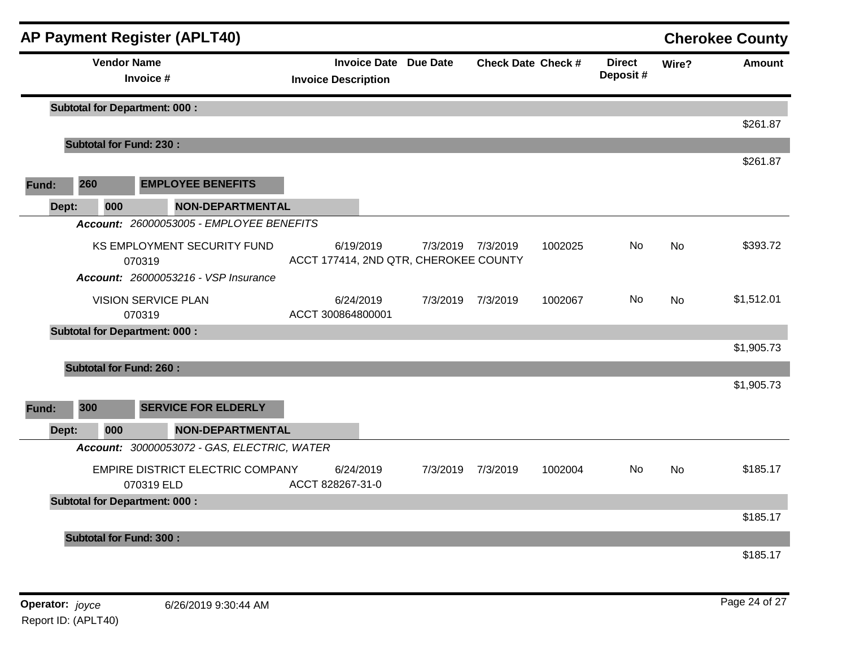| <b>AP Payment Register (APLT40)</b>            |                         |                                                            |                   |                           |         |                           |           | <b>Cherokee County</b> |
|------------------------------------------------|-------------------------|------------------------------------------------------------|-------------------|---------------------------|---------|---------------------------|-----------|------------------------|
| <b>Vendor Name</b><br>Invoice #                |                         | <b>Invoice Date Due Date</b><br><b>Invoice Description</b> |                   | <b>Check Date Check #</b> |         | <b>Direct</b><br>Deposit# | Wire?     | <b>Amount</b>          |
| <b>Subtotal for Department: 000:</b>           |                         |                                                            |                   |                           |         |                           |           |                        |
|                                                |                         |                                                            |                   |                           |         |                           |           | \$261.87               |
| <b>Subtotal for Fund: 230:</b>                 |                         |                                                            |                   |                           |         |                           |           |                        |
|                                                |                         |                                                            |                   |                           |         |                           |           | \$261.87               |
| 260<br><b>EMPLOYEE BENEFITS</b><br>Fund:       |                         |                                                            |                   |                           |         |                           |           |                        |
| 000<br>Dept:                                   | <b>NON-DEPARTMENTAL</b> |                                                            |                   |                           |         |                           |           |                        |
| Account: 26000053005 - EMPLOYEE BENEFITS       |                         |                                                            |                   |                           |         |                           |           |                        |
| KS EMPLOYMENT SECURITY FUND                    |                         | 6/19/2019                                                  | 7/3/2019 7/3/2019 |                           | 1002025 | No                        | <b>No</b> | \$393.72               |
| 070319                                         |                         | ACCT 177414, 2ND QTR, CHEROKEE COUNTY                      |                   |                           |         |                           |           |                        |
| <b>Account: 26000053216 - VSP Insurance</b>    |                         |                                                            |                   |                           |         |                           |           |                        |
| <b>VISION SERVICE PLAN</b>                     |                         | 6/24/2019                                                  | 7/3/2019          | 7/3/2019                  | 1002067 | No                        | No        | \$1,512.01             |
| 070319                                         |                         | ACCT 300864800001                                          |                   |                           |         |                           |           |                        |
| <b>Subtotal for Department: 000:</b>           |                         |                                                            |                   |                           |         |                           |           | \$1,905.73             |
|                                                |                         |                                                            |                   |                           |         |                           |           |                        |
| <b>Subtotal for Fund: 260:</b>                 |                         |                                                            |                   |                           |         |                           |           | \$1,905.73             |
|                                                |                         |                                                            |                   |                           |         |                           |           |                        |
| 300<br><b>SERVICE FOR ELDERLY</b><br>Fund:     |                         |                                                            |                   |                           |         |                           |           |                        |
| Dept:<br>000                                   | <b>NON-DEPARTMENTAL</b> |                                                            |                   |                           |         |                           |           |                        |
| Account: 30000053072 - GAS, ELECTRIC, WATER    |                         |                                                            |                   |                           |         |                           |           |                        |
| EMPIRE DISTRICT ELECTRIC COMPANY<br>070319 ELD |                         | 6/24/2019<br>ACCT 828267-31-0                              | 7/3/2019          | 7/3/2019                  | 1002004 | No                        | <b>No</b> | \$185.17               |
| <b>Subtotal for Department: 000:</b>           |                         |                                                            |                   |                           |         |                           |           |                        |
|                                                |                         |                                                            |                   |                           |         |                           |           | \$185.17               |
| <b>Subtotal for Fund: 300:</b>                 |                         |                                                            |                   |                           |         |                           |           |                        |
|                                                |                         |                                                            |                   |                           |         |                           |           | \$185.17               |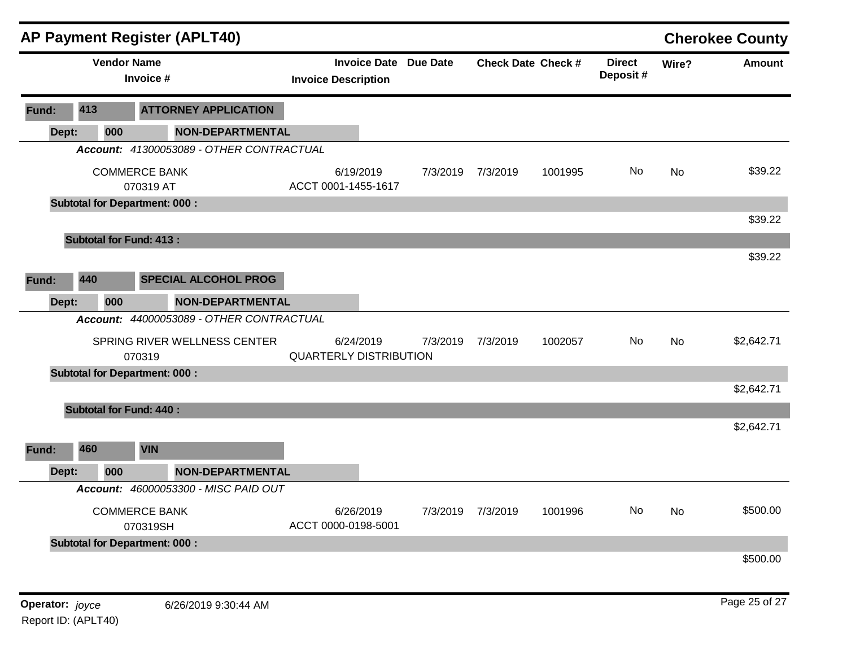|                 |     |                    | <b>AP Payment Register (APLT40)</b>      |                               |                              |          |                   |                           |                           |           | <b>Cherokee County</b> |
|-----------------|-----|--------------------|------------------------------------------|-------------------------------|------------------------------|----------|-------------------|---------------------------|---------------------------|-----------|------------------------|
|                 |     | <b>Vendor Name</b> | Invoice #                                | <b>Invoice Description</b>    | <b>Invoice Date Due Date</b> |          |                   | <b>Check Date Check #</b> | <b>Direct</b><br>Deposit# | Wire?     | <b>Amount</b>          |
| Fund:           | 413 |                    | <b>ATTORNEY APPLICATION</b>              |                               |                              |          |                   |                           |                           |           |                        |
| Dept:           |     | 000                | <b>NON-DEPARTMENTAL</b>                  |                               |                              |          |                   |                           |                           |           |                        |
|                 |     |                    | Account: 41300053089 - OTHER CONTRACTUAL |                               |                              |          |                   |                           |                           |           |                        |
|                 |     |                    | <b>COMMERCE BANK</b><br>070319 AT        | ACCT 0001-1455-1617           | 6/19/2019                    | 7/3/2019 | 7/3/2019          | 1001995                   | No                        | <b>No</b> | \$39.22                |
|                 |     |                    | <b>Subtotal for Department: 000:</b>     |                               |                              |          |                   |                           |                           |           |                        |
|                 |     |                    |                                          |                               |                              |          |                   |                           |                           |           | \$39.22                |
|                 |     |                    | <b>Subtotal for Fund: 413:</b>           |                               |                              |          |                   |                           |                           |           |                        |
| Fund:           | 440 |                    | <b>SPECIAL ALCOHOL PROG</b>              |                               |                              |          |                   |                           |                           |           | \$39.22                |
| Dept:           |     | 000                | <b>NON-DEPARTMENTAL</b>                  |                               |                              |          |                   |                           |                           |           |                        |
|                 |     |                    | Account: 44000053089 - OTHER CONTRACTUAL |                               |                              |          |                   |                           |                           |           |                        |
|                 |     |                    | SPRING RIVER WELLNESS CENTER<br>070319   | <b>QUARTERLY DISTRIBUTION</b> | 6/24/2019                    | 7/3/2019 | 7/3/2019          | 1002057                   | No                        | <b>No</b> | \$2,642.71             |
|                 |     |                    | <b>Subtotal for Department: 000:</b>     |                               |                              |          |                   |                           |                           |           |                        |
|                 |     |                    |                                          |                               |                              |          |                   |                           |                           |           | \$2,642.71             |
|                 |     |                    | <b>Subtotal for Fund: 440:</b>           |                               |                              |          |                   |                           |                           |           |                        |
| Fund:           | 460 |                    | <b>VIN</b>                               |                               |                              |          |                   |                           |                           |           | \$2,642.71             |
| Dept:           |     | 000                | <b>NON-DEPARTMENTAL</b>                  |                               |                              |          |                   |                           |                           |           |                        |
|                 |     |                    | Account: 46000053300 - MISC PAID OUT     |                               |                              |          |                   |                           |                           |           |                        |
|                 |     |                    | <b>COMMERCE BANK</b><br>070319SH         | ACCT 0000-0198-5001           | 6/26/2019                    |          | 7/3/2019 7/3/2019 | 1001996                   | No.                       | No        | \$500.00               |
|                 |     |                    | <b>Subtotal for Department: 000:</b>     |                               |                              |          |                   |                           |                           |           |                        |
|                 |     |                    |                                          |                               |                              |          |                   |                           |                           |           | \$500.00               |
| Operator: joyce |     |                    | 6/26/2019 9:30:44 AM                     |                               |                              |          |                   |                           |                           |           | Page 25 of 27          |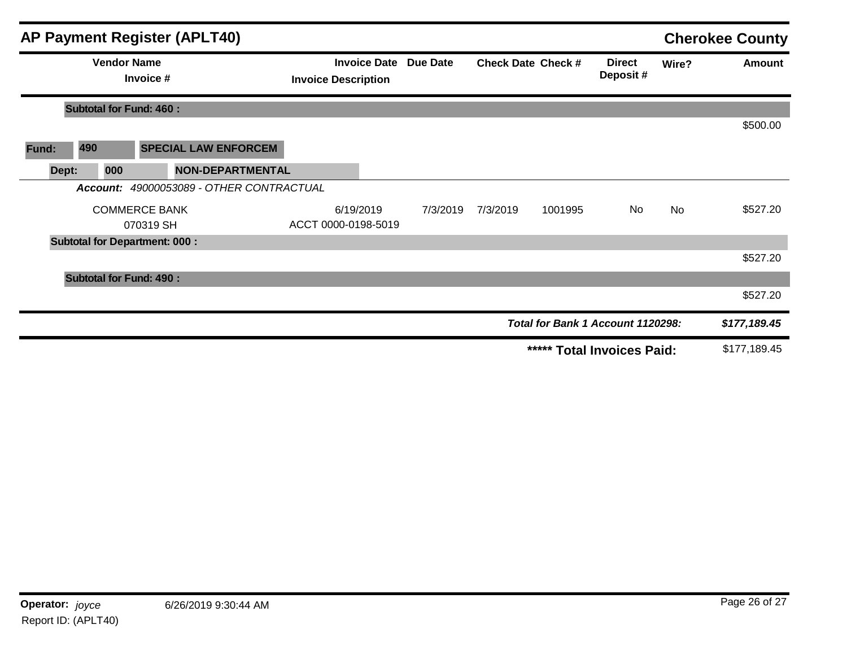|       |          | <b>AP Payment Register (APLT40)</b>  |                                                            |          |                           |         |                                   |       | <b>Cherokee County</b> |
|-------|----------|--------------------------------------|------------------------------------------------------------|----------|---------------------------|---------|-----------------------------------|-------|------------------------|
|       |          | <b>Vendor Name</b><br>Invoice #      | <b>Invoice Date Due Date</b><br><b>Invoice Description</b> |          | <b>Check Date Check #</b> |         | <b>Direct</b><br>Deposit#         | Wire? | Amount                 |
|       |          | <b>Subtotal for Fund: 460:</b>       |                                                            |          |                           |         |                                   |       |                        |
|       |          |                                      |                                                            |          |                           |         |                                   |       | \$500.00               |
| Fund: | 490      | <b>SPECIAL LAW ENFORCEM</b>          |                                                            |          |                           |         |                                   |       |                        |
| Dept: | 000      | <b>NON-DEPARTMENTAL</b>              |                                                            |          |                           |         |                                   |       |                        |
|       | Account: | 49000053089 - OTHER CONTRACTUAL      |                                                            |          |                           |         |                                   |       |                        |
|       |          | <b>COMMERCE BANK</b>                 | 6/19/2019                                                  | 7/3/2019 | 7/3/2019                  | 1001995 | No                                | No    | \$527.20               |
|       |          | 070319 SH                            | ACCT 0000-0198-5019                                        |          |                           |         |                                   |       |                        |
|       |          | <b>Subtotal for Department: 000:</b> |                                                            |          |                           |         |                                   |       |                        |
|       |          |                                      |                                                            |          |                           |         |                                   |       | \$527.20               |
|       |          | <b>Subtotal for Fund: 490:</b>       |                                                            |          |                           |         |                                   |       |                        |
|       |          |                                      |                                                            |          |                           |         |                                   |       | \$527.20               |
|       |          |                                      |                                                            |          |                           |         | Total for Bank 1 Account 1120298: |       | \$177,189.45           |
|       |          |                                      |                                                            |          |                           |         | ***** Total Invoices Paid:        |       | \$177,189.45           |